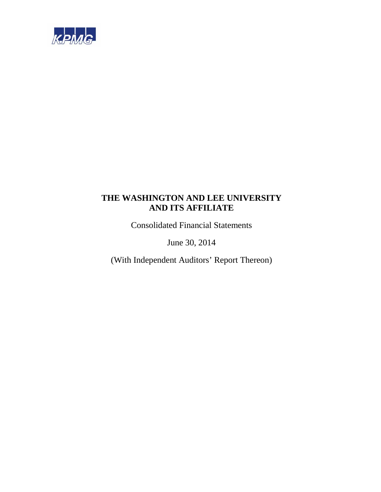

Consolidated Financial Statements

June 30, 2014

(With Independent Auditors' Report Thereon)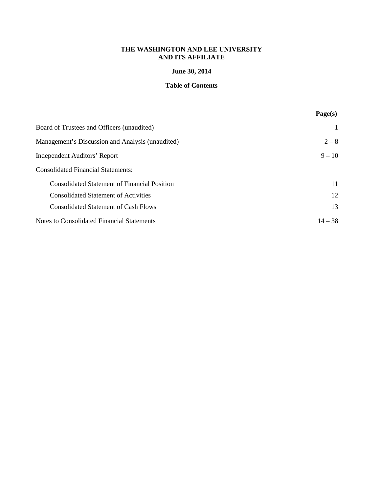# **June 30, 2014**

# **Table of Contents**

|                                                     | Page(s)   |
|-----------------------------------------------------|-----------|
| Board of Trustees and Officers (unaudited)          | 1         |
| Management's Discussion and Analysis (unaudited)    | $2 - 8$   |
| <b>Independent Auditors' Report</b>                 | $9 - 10$  |
| <b>Consolidated Financial Statements:</b>           |           |
| <b>Consolidated Statement of Financial Position</b> | 11        |
| <b>Consolidated Statement of Activities</b>         | 12        |
| <b>Consolidated Statement of Cash Flows</b>         | 13        |
| <b>Notes to Consolidated Financial Statements</b>   | $14 - 38$ |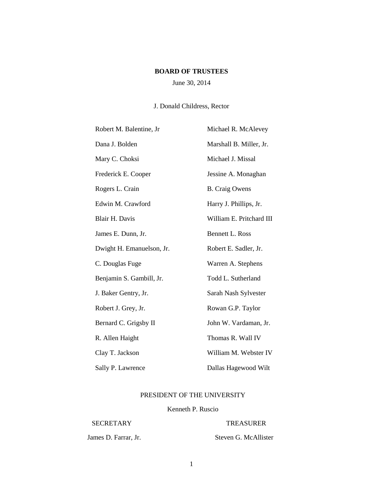### **BOARD OF TRUSTEES**

# June 30, 2014

# J. Donald Childress, Rector

| Robert M. Balentine, Jr   | Michael R. McAlevey      |
|---------------------------|--------------------------|
| Dana J. Bolden            | Marshall B. Miller, Jr.  |
| Mary C. Choksi            | Michael J. Missal        |
| Frederick E. Cooper       | Jessine A. Monaghan      |
| Rogers L. Crain           | <b>B.</b> Craig Owens    |
| Edwin M. Crawford         | Harry J. Phillips, Jr.   |
| <b>Blair H. Davis</b>     | William E. Pritchard III |
| James E. Dunn, Jr.        | <b>Bennett L. Ross</b>   |
| Dwight H. Emanuelson, Jr. | Robert E. Sadler, Jr.    |
| C. Douglas Fuge           | Warren A. Stephens       |
| Benjamin S. Gambill, Jr.  | Todd L. Sutherland       |
| J. Baker Gentry, Jr.      | Sarah Nash Sylvester     |
| Robert J. Grey, Jr.       | Rowan G.P. Taylor        |
| Bernard C. Grigsby II     | John W. Vardaman, Jr.    |
| R. Allen Haight           | Thomas R. Wall IV        |
| Clay T. Jackson           | William M. Webster IV    |
| Sally P. Lawrence         | Dallas Hagewood Wilt     |

# PRESIDENT OF THE UNIVERSITY

### Kenneth P. Ruscio

### SECRETARY TREASURER

James D. Farrar, Jr. Steven G. McAllister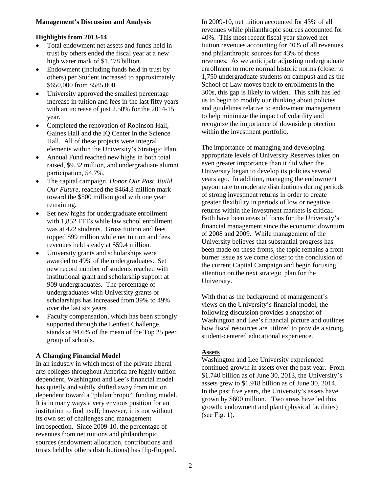### **Management's Discussion and Analysis**

### **Highlights from 2013-14**

- Total endowment net assets and funds held in trust by others ended the fiscal year at a new high water mark of \$1.478 billion.
- Endowment (including funds held in trust by others) per Student increased to approximately \$650,000 from \$585,000.
- University approved the smallest percentage increase in tuition and fees in the last fifty years with an increase of just 2.50% for the 2014-15 year.
- Completed the renovation of Robinson Hall, Gaines Hall and the IQ Center in the Science Hall. All of these projects were integral elements within the University's Strategic Plan.
- Annual Fund reached new highs in both total raised, \$9.32 million, and undergraduate alumni participation, 54.7%.
- The capital campaign, *Honor Our Past, Build Our Future*, reached the \$464.8 million mark toward the \$500 million goal with one year remaining.
- Set new highs for undergraduate enrollment with 1,852 FTEs while law school enrollment was at 422 students. Gross tuition and fees topped \$99 million while net tuition and fees revenues held steady at \$59.4 million.
- University grants and scholarships were awarded to 49% of the undergraduates. Set new record number of students reached with institutional grant and scholarship support at 909 undergraduates. The percentage of undergraduates with University grants or scholarships has increased from 39% to 49% over the last six years.
- Faculty compensation, which has been strongly supported through the Lenfest Challenge, stands at 94.6% of the mean of the Top 25 peer group of schools.

### **A Changing Financial Model**

In an industry in which most of the private liberal arts colleges throughout America are highly tuition dependent, Washington and Lee's financial model has quietly and subtly shifted away from tuition dependent toward a "philanthropic" funding model. It is in many ways a very envious position for an institution to find itself; however, it is not without its own set of challenges and management introspection. Since 2009-10, the percentage of revenues from net tuitions and philanthropic sources (endowment allocation, contributions and trusts held by others distributions) has flip-flopped.

In 2009-10, net tuition accounted for 43% of all revenues while philanthropic sources accounted for 40%. This most recent fiscal year showed net tuition revenues accounting for 40% of all revenues and philanthropic sources for 43% of those revenues. As we anticipate adjusting undergraduate enrollment to more normal historic norms (closer to 1,750 undergraduate students on campus) and as the School of Law moves back to enrollments in the 300s, this gap is likely to widen. This shift has led us to begin to modify our thinking about policies and guidelines relative to endowment management to help minimize the impact of volatility and recognize the importance of downside protection within the investment portfolio.

The importance of managing and developing appropriate levels of University Reserves takes on even greater importance than it did when the University began to develop its policies several years ago. In addition, managing the endowment payout rate to moderate distributions during periods of strong investment returns in order to create greater flexibility in periods of low or negative returns within the investment markets is critical. Both have been areas of focus for the University's financial management since the economic downturn of 2008 and 2009. While management of the University believes that substantial progress has been made on these fronts, the topic remains a front burner issue as we come closer to the conclusion of the current Capital Campaign and begin focusing attention on the next strategic plan for the University.

With that as the background of management's views on the University's financial model, the following discussion provides a snapshot of Washington and Lee's financial picture and outlines how fiscal resources are utilized to provide a strong, student-centered educational experience.

### **Assets**

Washington and Lee University experienced continued growth in assets over the past year. From \$1.740 billion as of June 30, 2013, the University's assets grew to \$1.918 billion as of June 30, 2014. In the past five years, the University's assets have grown by \$600 million. Two areas have led this growth: endowment and plant (physical facilities) (see Fig. 1).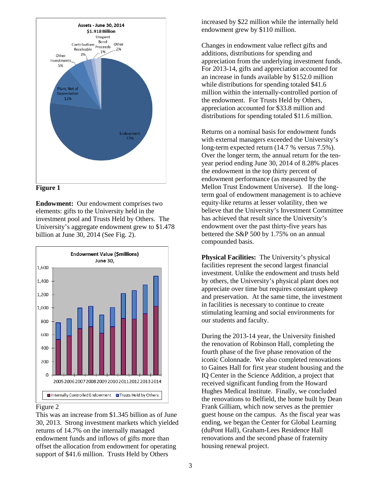



**Endowment:** Our endowment comprises two elements: gifts to the University held in the investment pool and Trusts Held by Others. The University's aggregate endowment grew to \$1.478 billion at June 30, 2014 (See Fig. 2).



### Figure 2

This was an increase from \$1.345 billion as of June 30, 2013. Strong investment markets which yielded returns of 14.7% on the internally managed endowment funds and inflows of gifts more than offset the allocation from endowment for operating support of \$41.6 million. Trusts Held by Others

increased by \$22 million while the internally held endowment grew by \$110 million.

Changes in endowment value reflect gifts and additions, distributions for spending and appreciation from the underlying investment funds. For 2013-14, gifts and appreciation accounted for an increase in funds available by \$152.0 million while distributions for spending totaled \$41.6 million within the internally-controlled portion of the endowment. For Trusts Held by Others, appreciation accounted for \$33.8 million and distributions for spending totaled \$11.6 million.

Returns on a nominal basis for endowment funds with external managers exceeded the University's long-term expected return (14.7 % versus 7.5%). Over the longer term, the annual return for the tenyear period ending June 30, 2014 of 8.28% places the endowment in the top thirty percent of endowment performance (as measured by the Mellon Trust Endowment Universe). If the longterm goal of endowment management is to achieve equity-like returns at lesser volatility, then we believe that the University's Investment Committee has achieved that result since the University's endowment over the past thirty-five years has bettered the S&P 500 by 1.75% on an annual compounded basis.

**Physical Facilities:** The University's physical facilities represent the second largest financial investment. Unlike the endowment and trusts held by others, the University's physical plant does not appreciate over time but requires constant upkeep and preservation. At the same time, the investment in facilities is necessary to continue to create stimulating learning and social environments for our students and faculty.

During the 2013-14 year, the University finished the renovation of Robinson Hall, completing the fourth phase of the five phase renovation of the iconic Colonnade. We also completed renovations to Gaines Hall for first year student housing and the IQ Center in the Science Addition, a project that received significant funding from the Howard Hughes Medical Institute. Finally, we concluded the renovations to Belfield, the home built by Dean Frank Gilliam, which now serves as the premier guest house on the campus. As the fiscal year was ending, we began the Center for Global Learning (duPont Hall), Graham-Lees Residence Hall renovations and the second phase of fraternity housing renewal project.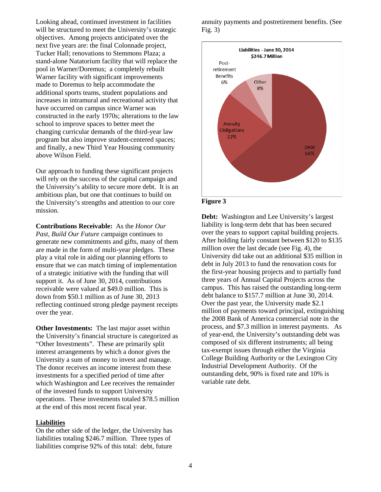Looking ahead, continued investment in facilities will be structured to meet the University's strategic objectives. Among projects anticipated over the next five years are: the final Colonnade project, Tucker Hall; renovations to Stemmons Plaza; a stand-alone Natatorium facility that will replace the pool in Warner/Doremus; a completely rebuilt Warner facility with significant improvements made to Doremus to help accommodate the additional sports teams, student populations and increases in intramural and recreational activity that have occurred on campus since Warner was constructed in the early 1970s; alterations to the law school to improve spaces to better meet the changing curricular demands of the third-year law program but also improve student-centered spaces; and finally, a new Third Year Housing community above Wilson Field.

Our approach to funding these significant projects will rely on the success of the capital campaign and the University's ability to secure more debt. It is an ambitious plan, but one that continues to build on the University's strengths and attention to our core mission.

**Contributions Receivable:** As the *Honor Our Past, Build Our Future c*ampaign continues to generate new commitments and gifts, many of them are made in the form of multi-year pledges. These play a vital role in aiding our planning efforts to ensure that we can match timing of implementation of a strategic initiative with the funding that will support it. As of June 30, 2014, contributions receivable were valued at \$49.0 million. This is down from \$50.1 million as of June 30, 2013 reflecting continued strong pledge payment receipts over the year.

**Other Investments:** The last major asset within the University's financial structure is categorized as "Other Investments". These are primarily split interest arrangements by which a donor gives the University a sum of money to invest and manage. The donor receives an income interest from these investments for a specified period of time after which Washington and Lee receives the remainder of the invested funds to support University operations. These investments totaled \$78.5 million at the end of this most recent fiscal year.

#### **Liabilities**

On the other side of the ledger, the University has liabilities totaling \$246.7 million. Three types of liabilities comprise 92% of this total: debt, future annuity payments and postretirement benefits. (See  $Fig. 3)$ 





**Debt:** Washington and Lee University's largest liability is long-term debt that has been secured over the years to support capital building projects. After holding fairly constant between \$120 to \$135 million over the last decade (see Fig. 4), the University did take out an additional \$35 million in debt in July 2013 to fund the renovation costs for the first-year housing projects and to partially fund three years of Annual Capital Projects across the campus. This has raised the outstanding long-term debt balance to \$157.7 million at June 30, 2014. Over the past year, the University made \$2.1 million of payments toward principal, extinguishing the 2008 Bank of America commercial note in the process, and \$7.3 million in interest payments. As of year-end, the University's outstanding debt was composed of six different instruments; all being tax-exempt issues through either the Virginia College Building Authority or the Lexington City Industrial Development Authority. Of the outstanding debt, 90% is fixed rate and 10% is variable rate debt.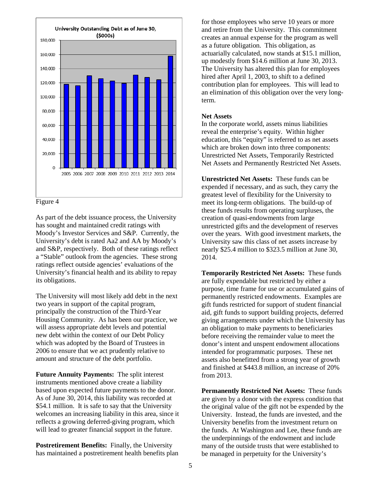



As part of the debt issuance process, the University has sought and maintained credit ratings with Moody's Investor Services and S&P. Currently, the University's debt is rated Aa2 and AA by Moody's and S&P, respectively. Both of these ratings reflect a "Stable" outlook from the agencies. These strong ratings reflect outside agencies' evaluations of the University's financial health and its ability to repay its obligations.

The University will most likely add debt in the next two years in support of the capital program, principally the construction of the Third-Year Housing Community. As has been our practice, we will assess appropriate debt levels and potential new debt within the context of our Debt Policy which was adopted by the Board of Trustees in 2006 to ensure that we act prudently relative to amount and structure of the debt portfolio.

**Future Annuity Payments:** The split interest instruments mentioned above create a liability based upon expected future payments to the donor. As of June 30, 2014, this liability was recorded at \$54.1 million. It is safe to say that the University welcomes an increasing liability in this area, since it reflects a growing deferred-giving program, which will lead to greater financial support in the future.

**Postretirement Benefits:** Finally, the University has maintained a postretirement health benefits plan

for those employees who serve 10 years or more and retire from the University. This commitment creates an annual expense for the program as well as a future obligation. This obligation, as actuarially calculated, now stands at \$15.1 million, up modestly from \$14.6 million at June 30, 2013. The University has altered this plan for employees hired after April 1, 2003, to shift to a defined contribution plan for employees. This will lead to an elimination of this obligation over the very longterm.

### **Net Assets**

In the corporate world, assets minus liabilities reveal the enterprise's equity. Within higher education, this "equity" is referred to as net assets which are broken down into three components: Unrestricted Net Assets, Temporarily Restricted Net Assets and Permanently Restricted Net Assets.

**Unrestricted Net Assets:** These funds can be expended if necessary, and as such, they carry the greatest level of flexibility for the University to meet its long-term obligations. The build-up of these funds results from operating surpluses, the creation of quasi-endowments from large unrestricted gifts and the development of reserves over the years. With good investment markets, the University saw this class of net assets increase by nearly \$25.4 million to \$323.5 million at June 30, 2014.

**Temporarily Restricted Net Assets:** These funds are fully expendable but restricted by either a purpose, time frame for use or accumulated gains of permanently restricted endowments. Examples are gift funds restricted for support of student financial aid, gift funds to support building projects, deferred giving arrangements under which the University has an obligation to make payments to beneficiaries before receiving the remainder value to meet the donor's intent and unspent endowment allocations intended for programmatic purposes. These net assets also benefitted from a strong year of growth and finished at \$443.8 million, an increase of 20% from 2013.

**Permanently Restricted Net Assets:** These funds are given by a donor with the express condition that the original value of the gift not be expended by the University. Instead, the funds are invested, and the University benefits from the investment return on the funds. At Washington and Lee, these funds are the underpinnings of the endowment and include many of the outside trusts that were established to be managed in perpetuity for the University's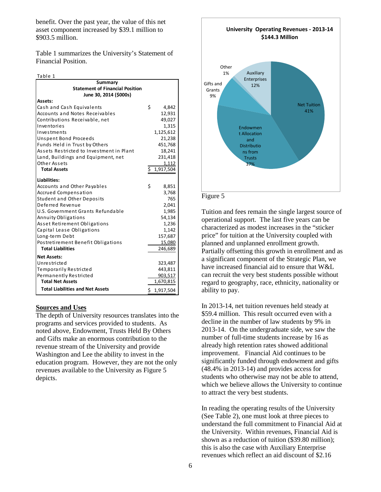benefit. Over the past year, the value of this net asset component increased by \$39.1 million to \$903.5 million.

Table 1 summarizes the University's Statement of Financial Position.

| Table 1                                  |                 |
|------------------------------------------|-----------------|
| Summary                                  |                 |
| <b>Statement of Financial Position</b>   |                 |
| June 30, 2014 (\$000s)                   |                 |
| Assets:                                  |                 |
| Cash and Cash Equivalents                | \$<br>4,842     |
| Accounts and Notes Receivables           | 12,931          |
| Contributions Receivable, net            | 49,027          |
| Inventories                              | 1,315           |
| Investments                              | 1,125,612       |
| Unspent Bond Proceeds                    | 21,238          |
| Funds Held in Trust by Others            | 451,768         |
| Assets Restricted to Investment in Plant | 18,241          |
| Land, Buildings and Equipment, net       | 231,418         |
| Other Assets                             | 1.112           |
| <b>Total Assets</b>                      | \$<br>1,917,504 |
| Liabilities:                             |                 |
| Accounts and Other Payables              | \$<br>8,851     |
| Accrued Compensation                     | 3,768           |
| <b>Student and Other Deposits</b>        | 765             |
| Deferred Revenue                         | 2,041           |
| U.S. Government Grants Refundable        | 1,985           |
| Annuity Obligations                      | 54,134          |
| Asset Retirement Obligations             | 1,236           |
| Capital Lease Obligations                | 1,142           |
| Long-term Debt                           | 157,687         |
| Postretirement Benefit Obligations       | 15,080          |
| <b>Total Liabilities</b>                 | 246,689         |
| <b>Net Assets:</b>                       |                 |
| Unrestricted                             | 323,487         |
| Temporarily Restricted                   | 443,811         |
| Permanently Restricted                   | 903,517         |
| <b>Total Net Assets</b>                  | 1,670,815       |
| <b>Total Liabilities and Net Assets</b>  | \$1,917,504     |
|                                          |                 |

### **Sources and Uses**

The depth of University resources translates into the programs and services provided to students. As noted above, Endowment, Trusts Held By Others and Gifts make an enormous contribution to the revenue stream of the University and provide Washington and Lee the ability to invest in the education program. However, they are not the only revenues available to the University as Figure 5 depicts.



### Figure 5

Tuition and fees remain the single largest source of operational support. The last five years can be characterized as modest increases in the "sticker price" for tuition at the University coupled with planned and unplanned enrollment growth. Partially offsetting this growth in enrollment and as a significant component of the Strategic Plan, we have increased financial aid to ensure that W&L can recruit the very best students possible without regard to geography, race, ethnicity, nationality or ability to pay.

In 2013-14, net tuition revenues held steady at \$59.4 million. This result occurred even with a decline in the number of law students by 9% in 2013-14. On the undergraduate side, we saw the number of full-time students increase by 16 as already high retention rates showed additional improvement. Financial Aid continues to be significantly funded through endowment and gifts (48.4% in 2013-14) and provides access for students who otherwise may not be able to attend, which we believe allows the University to continue to attract the very best students.

In reading the operating results of the University (See Table 2), one must look at three pieces to understand the full commitment to Financial Aid at the University. Within revenues, Financial Aid is shown as a reduction of tuition (\$39.80 million); this is also the case with Auxiliary Enterprise revenues which reflect an aid discount of \$2.16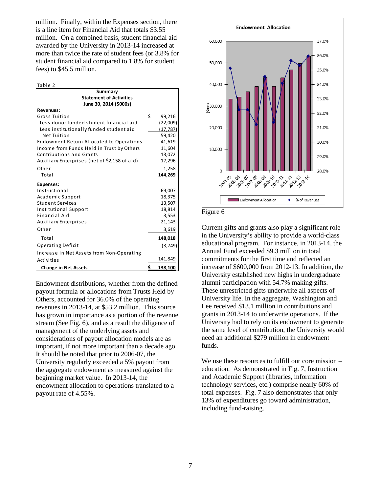million. Finally, within the Expenses section, there is a line item for Financial Aid that totals \$3.55 million. On a combined basis, student financial aid awarded by the University in 2013-14 increased at more than twice the rate of student fees (or 3.8% for student financial aid compared to 1.8% for student fees) to \$45.5 million.

| v<br>I |  |
|--------|--|
|--------|--|

| Summary                                                |              |
|--------------------------------------------------------|--------------|
| <b>Statement of Activities</b>                         |              |
| June 30, 2014 (\$000s)                                 |              |
| <b>Revenues:</b><br>Gross Tuition                      | \$<br>99,216 |
| Less donor funded student financial aid                | (22,009)     |
|                                                        | (17, 787)    |
| Less institutionally funded student aid<br>Net Tuition | 59,420       |
| Endowment Return Allocated to Operations               | 41,619       |
| Income from Funds Held in Trust by Others              | 11,604       |
| Contributions and Grants                               | 13,072       |
| Auxiliary Enterprises (net of \$2,158 of aid)          | 17,296       |
| Other                                                  | 1,258        |
| Total                                                  | 144,269      |
| <b>Expenses:</b>                                       |              |
| Instructional                                          | 69,007       |
| Academic Support                                       | 18,375       |
| Student Services                                       | 13,507       |
| Institutional Support                                  | 18,814       |
| Financial Aid                                          | 3,553        |
| Auxiliary Enterprises                                  | 21,143       |
| Other                                                  | 3,619        |
| Total                                                  | 148,018      |
| Operating Deficit                                      | (3,749)      |
| Increase in Net Assets from Non-Operating              |              |
| Activities                                             | 141,849      |
| <b>Change in Net Assets</b>                            | 138.100      |

Endowment distributions, whether from the defined payout formula or allocations from Trusts Held by Others, accounted for 36.0% of the operating revenues in 2013-14, at \$53.2 million. This source has grown in importance as a portion of the revenue stream (See Fig. 6), and as a result the diligence of management of the underlying assets and considerations of payout allocation models are as important, if not more important than a decade ago. It should be noted that prior to 2006-07, the University regularly exceeded a 5% payout from the aggregate endowment as measured against the beginning market value. In 2013-14, the endowment allocation to operations translated to a payout rate of 4.55%.





Current gifts and grants also play a significant role in the University's ability to provide a world-class educational program. For instance, in 2013-14, the Annual Fund exceeded \$9.3 million in total commitments for the first time and reflected an increase of \$600,000 from 2012-13. In addition, the University established new highs in undergraduate alumni participation with 54.7% making gifts. These unrestricted gifts underwrite all aspects of University life. In the aggregate, Washington and Lee received \$13.1 million in contributions and grants in 2013-14 to underwrite operations. If the University had to rely on its endowment to generate the same level of contribution, the University would need an additional \$279 million in endowment funds.

We use these resources to fulfill our core mission – education. As demonstrated in Fig. 7, Instruction and Academic Support (libraries, information technology services, etc.) comprise nearly 60% of total expenses. Fig. 7 also demonstrates that only 13% of expenditures go toward administration, including fund-raising.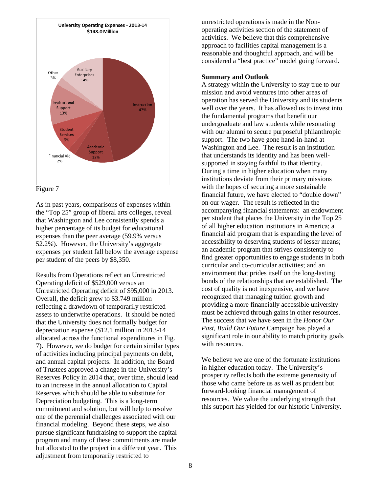



As in past years, comparisons of expenses within the "Top 25" group of liberal arts colleges, reveal that Washington and Lee consistently spends a higher percentage of its budget for educational expenses than the peer average (59.9% versus 52.2%). However, the University's aggregate expenses per student fall below the average expense per student of the peers by \$8,350.

Results from Operations reflect an Unrestricted Operating deficit of \$529,000 versus an Unrestricted Operating deficit of \$95,000 in 2013. Overall, the deficit grew to \$3.749 million reflecting a drawdown of temporarily restricted assets to underwrite operations. It should be noted that the University does not formally budget for depreciation expense (\$12.1 million in 2013-14 allocated across the functional expenditures in Fig. 7). However, we do budget for certain similar types of activities including principal payments on debt, and annual capital projects. In addition, the Board of Trustees approved a change in the University's Reserves Policy in 2014 that, over time, should lead to an increase in the annual allocation to Capital Reserves which should be able to substitute for Depreciation budgeting. This is a long-term commitment and solution, but will help to resolve one of the perennial challenges associated with our financial modeling. Beyond these steps, we also pursue significant fundraising to support the capital program and many of these commitments are made but allocated to the project in a different year. This adjustment from temporarily restricted to

unrestricted operations is made in the Nonoperating activities section of the statement of activities. We believe that this comprehensive approach to facilities capital management is a reasonable and thoughtful approach, and will be considered a "best practice" model going forward.

### **Summary and Outlook**

A strategy within the University to stay true to our mission and avoid ventures into other areas of operation has served the University and its students well over the years. It has allowed us to invest into the fundamental programs that benefit our undergraduate and law students while resonating with our alumni to secure purposeful philanthropic support. The two have gone hand-in-hand at Washington and Lee. The result is an institution that understands its identity and has been wellsupported in staying faithful to that identity. During a time in higher education when many institutions deviate from their primary missions with the hopes of securing a more sustainable financial future, we have elected to "double down" on our wager. The result is reflected in the accompanying financial statements: an endowment per student that places the University in the Top 25 of all higher education institutions in America; a financial aid program that is expanding the level of accessibility to deserving students of lesser means; an academic program that strives consistently to find greater opportunities to engage students in both curricular and co-curricular activities; and an environment that prides itself on the long-lasting bonds of the relationships that are established. The cost of quality is not inexpensive, and we have recognized that managing tuition growth and providing a more financially accessible university must be achieved through gains in other resources. The success that we have seen in the *Honor Our Past, Build Our Future* Campaign has played a significant role in our ability to match priority goals with resources.

We believe we are one of the fortunate institutions in higher education today. The University's prosperity reflects both the extreme generosity of those who came before us as well as prudent but forward-looking financial management of resources. We value the underlying strength that this support has yielded for our historic University.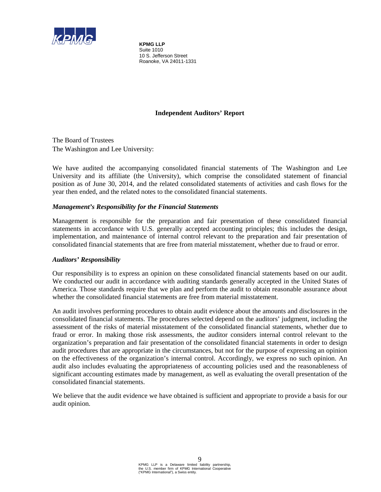

**KPMG LLP** Suite 1010 10 S. Jefferson Street Roanoke, VA 24011-1331

# **Independent Auditors' Report**

The Board of Trustees The Washington and Lee University:

We have audited the accompanying consolidated financial statements of The Washington and Lee University and its affiliate (the University), which comprise the consolidated statement of financial position as of June 30, 2014, and the related consolidated statements of activities and cash flows for the year then ended, and the related notes to the consolidated financial statements.

### *Management's Responsibility for the Financial Statements*

Management is responsible for the preparation and fair presentation of these consolidated financial statements in accordance with U.S. generally accepted accounting principles; this includes the design, implementation, and maintenance of internal control relevant to the preparation and fair presentation of consolidated financial statements that are free from material misstatement, whether due to fraud or error.

### *Auditors' Responsibility*

Our responsibility is to express an opinion on these consolidated financial statements based on our audit. We conducted our audit in accordance with auditing standards generally accepted in the United States of America. Those standards require that we plan and perform the audit to obtain reasonable assurance about whether the consolidated financial statements are free from material misstatement.

An audit involves performing procedures to obtain audit evidence about the amounts and disclosures in the consolidated financial statements. The procedures selected depend on the auditors' judgment, including the assessment of the risks of material misstatement of the consolidated financial statements, whether due to fraud or error. In making those risk assessments, the auditor considers internal control relevant to the organization's preparation and fair presentation of the consolidated financial statements in order to design audit procedures that are appropriate in the circumstances, but not for the purpose of expressing an opinion on the effectiveness of the organization's internal control. Accordingly, we express no such opinion. An audit also includes evaluating the appropriateness of accounting policies used and the reasonableness of significant accounting estimates made by management, as well as evaluating the overall presentation of the consolidated financial statements.

We believe that the audit evidence we have obtained is sufficient and appropriate to provide a basis for our audit opinion.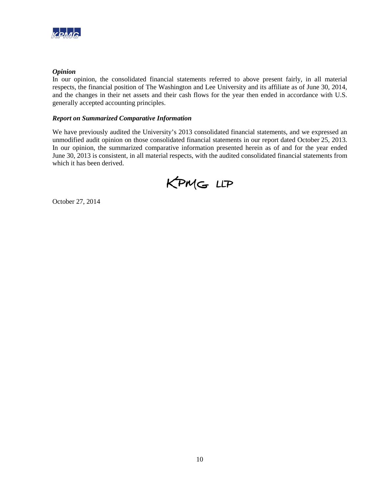

### *Opinion*

In our opinion, the consolidated financial statements referred to above present fairly, in all material respects, the financial position of The Washington and Lee University and its affiliate as of June 30, 2014, and the changes in their net assets and their cash flows for the year then ended in accordance with U.S. generally accepted accounting principles.

### *Report on Summarized Comparative Information*

We have previously audited the University's 2013 consolidated financial statements, and we expressed an unmodified audit opinion on those consolidated financial statements in our report dated October 25, 2013. In our opinion, the summarized comparative information presented herein as of and for the year ended June 30, 2013 is consistent, in all material respects, with the audited consolidated financial statements from which it has been derived.

KPMG LLP

October 27, 2014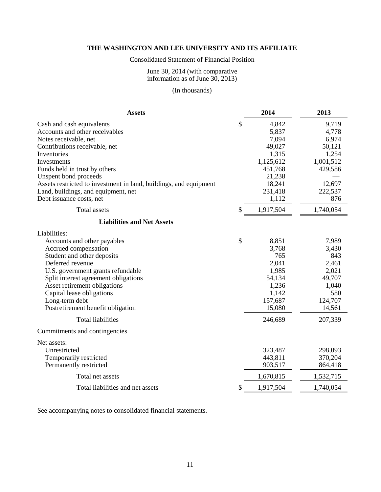### Consolidated Statement of Financial Position

### June 30, 2014 (with comparative information as of June 30, 2013)

# (In thousands)

| <b>Assets</b>                                                     | 2014            | 2013      |
|-------------------------------------------------------------------|-----------------|-----------|
| Cash and cash equivalents                                         | \$<br>4,842     | 9,719     |
| Accounts and other receivables                                    | 5,837           | 4,778     |
| Notes receivable, net                                             | 7,094           | 6,974     |
| Contributions receivable, net                                     | 49,027          | 50,121    |
| Inventories                                                       | 1,315           | 1,254     |
| Investments                                                       | 1,125,612       | 1,001,512 |
| Funds held in trust by others                                     | 451,768         | 429,586   |
| Unspent bond proceeds                                             | 21,238          |           |
| Assets restricted to investment in land, buildings, and equipment | 18,241          | 12,697    |
| Land, buildings, and equipment, net                               | 231,418         | 222,537   |
| Debt issuance costs, net                                          | 1,112           | 876       |
| <b>Total assets</b>                                               | \$<br>1,917,504 | 1,740,054 |
| <b>Liabilities and Net Assets</b>                                 |                 |           |
| Liabilities:                                                      |                 |           |
| Accounts and other payables                                       | \$<br>8,851     | 7,989     |
| Accrued compensation                                              | 3,768           | 3,430     |
| Student and other deposits                                        | 765             | 843       |
| Deferred revenue                                                  | 2,041           | 2,461     |
| U.S. government grants refundable                                 | 1,985           | 2,021     |
| Split interest agreement obligations                              | 54,134          | 49,707    |
| Asset retirement obligations                                      | 1,236           | 1,040     |
| Capital lease obligations                                         | 1,142           | 580       |
| Long-term debt                                                    | 157,687         | 124,707   |
| Postretirement benefit obligation                                 | 15,080          | 14,561    |
| <b>Total liabilities</b>                                          | 246,689         | 207,339   |
| Commitments and contingencies                                     |                 |           |
| Net assets:                                                       |                 |           |
| Unrestricted                                                      | 323,487         | 298,093   |
| Temporarily restricted                                            | 443,811         | 370,204   |
| Permanently restricted                                            | 903,517         | 864,418   |
| Total net assets                                                  | 1,670,815       | 1,532,715 |
| Total liabilities and net assets                                  | \$<br>1,917,504 | 1,740,054 |

See accompanying notes to consolidated financial statements.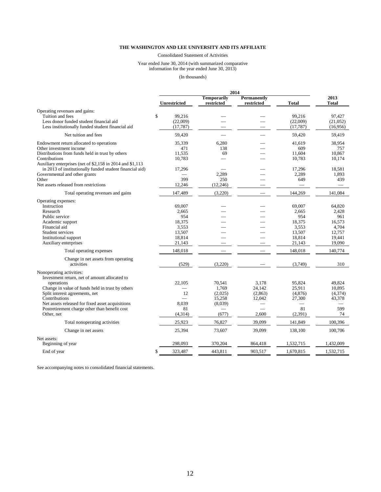Consolidated Statement of Activities

#### Year ended June 30, 2014 (with summarized comparative information for the year ended June 30, 2013)

(In thousands)

|                                                           |                     | 2014                      |                           |           |               |
|-----------------------------------------------------------|---------------------|---------------------------|---------------------------|-----------|---------------|
|                                                           | <b>Unrestricted</b> | Temporarily<br>restricted | Permanently<br>restricted | Total     | 2013<br>Total |
| Operating revenues and gains:                             |                     |                           |                           |           |               |
| Tuition and fees                                          | \$<br>99.216        |                           |                           | 99.216    | 97.427        |
| Less donor funded student financial aid                   | (22,009)            |                           |                           | (22,009)  | (21,052)      |
| Less institutionally funded student financial aid         | (17, 787)           |                           |                           | (17, 787) | (16,956)      |
| Net tuition and fees                                      | 59,420              |                           |                           | 59,420    | 59,419        |
| Endowment return allocated to operations                  | 35,339              | 6,280                     |                           | 41,619    | 38,954        |
| Other investment income                                   | 471                 | 138                       |                           | 609       | 757           |
| Distributions from funds held in trust by others          | 11,535              | 69                        |                           | 11,604    | 10.867        |
| Contributions                                             |                     |                           |                           | 10,783    | 10,174        |
| Auxiliary enterprises (net of \$2,158 in 2014 and \$1,113 | 10,783              |                           |                           |           |               |
| in 2013 of institutionally funded student financial aid)  | 17,296              |                           |                           | 17,296    | 18,581        |
| Governmental and other grants                             |                     | 2,289                     |                           | 2,289     | 1,893         |
| Other                                                     | 399                 | 250                       |                           | 649       | 439           |
| Net assets released from restrictions                     | 12,246              | (12, 246)                 |                           |           |               |
|                                                           |                     |                           |                           |           |               |
| Total operating revenues and gains                        | 147,489             | (3,220)                   |                           | 144,269   | 141,084       |
| Operating expenses:                                       |                     |                           |                           |           |               |
| Instruction                                               | 69,007              |                           |                           | 69.007    | 64,820        |
| Research                                                  | 2,665               |                           |                           | 2,665     | 2,428         |
| Public service                                            | 954                 |                           |                           | 954       | 961           |
| Academic support                                          | 18,375              |                           |                           | 18,375    | 16,573        |
| Financial aid                                             | 3,553               |                           |                           | 3,553     | 4,704         |
| Student services                                          | 13,507              |                           |                           | 13,507    | 12,757        |
| Institutional support                                     | 18,814              |                           |                           | 18,814    | 19,441        |
| Auxiliary enterprises                                     | 21,143              |                           |                           | 21,143    | 19,090        |
| Total operating expenses                                  | 148,018             |                           |                           | 148,018   | 140,774       |
| Change in net assets from operating                       |                     |                           |                           |           |               |
| activities                                                | (529)               | (3,220)                   |                           | (3,749)   | 310           |
| Nonoperating activities:                                  |                     |                           |                           |           |               |
| Investment return, net of amount allocated to             |                     |                           |                           |           |               |
| operations                                                | 22,105              | 70,541                    | 3,178                     | 95,824    | 49.824        |
| Change in value of funds held in trust by others          |                     | 1,769                     | 24,142                    | 25,911    | 10,895        |
| Split interest agreements, net                            | 12                  | (2,025)                   | (2, 863)                  | (4, 876)  | (4,374)       |
| Contributions                                             |                     | 15,258                    | 12,042                    | 27,300    | 43,378        |
| Net assets released for fixed asset acquisitions          | 8.039               | (8,039)                   |                           |           |               |
| Postretirement charge other than benefit cost             | 81                  |                           |                           | 81        | 599           |
| Other, net                                                | (4,314)             | (677)                     | 2,600                     | (2,391)   | 74            |
| Total nonoperating activities                             | 25,923              | 76.827                    | 39.099                    | 141.849   | 100.396       |
| Change in net assets                                      | 25,394              | 73,607                    | 39,099                    | 138,100   | 100,706       |
| Net assets:                                               |                     |                           |                           |           |               |
| Beginning of year                                         | 298,093             | 370,204                   | 864,418                   | 1,532,715 | 1,432,009     |
| End of year                                               | \$<br>323,487       | 443,811                   | 903,517                   | 1.670.815 | 1,532,715     |

See accompanying notes to consolidated financial statements.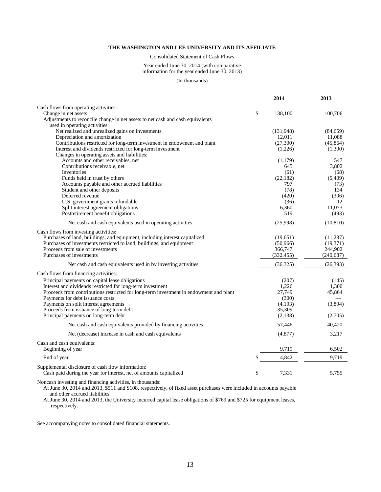Consolidated Statement of Cash Flows

#### Year ended June 30, 2014 (with comparative information for the year ended June 30, 2013)

(In thousands)

|                                                                                                                         | 2014          | 2013       |
|-------------------------------------------------------------------------------------------------------------------------|---------------|------------|
| Cash flows from operating activities:                                                                                   |               |            |
| Change in net assets                                                                                                    | \$<br>138,100 | 100,706    |
| Adjustments to reconcile change in net assets to net cash and cash equivalents                                          |               |            |
| used in operating activities:                                                                                           |               |            |
| Net realized and unrealized gains on investments                                                                        | (131,948)     | (84, 659)  |
| Depreciation and amortization                                                                                           | 12,011        | 11,088     |
| Contributions restricted for long-term investment in endowment and plant                                                | (27,300)      | (45, 864)  |
| Interest and dividends restricted for long-term investment                                                              | (1,226)       | (1,300)    |
| Changes in operating assets and liabilities:                                                                            |               |            |
| Accounts and other receivables, net                                                                                     | (1,179)       | 547        |
| Contributions receivable, net                                                                                           | 645           | 3,802      |
| Inventories                                                                                                             | (61)          | (68)       |
| Funds held in trust by others                                                                                           | (22, 182)     | (5,409)    |
| Accounts payable and other accrued liabilities                                                                          | 797           | (73)       |
| Student and other deposits                                                                                              | (78)          | 134        |
| Deferred revenue                                                                                                        | (420)         | (306)      |
| U.S. government grants refundable                                                                                       | (36)          | 12         |
| Split interest agreement obligations                                                                                    | 6,360         | 11,073     |
| Postretirement benefit obligations                                                                                      | 519           | (493)      |
| Net cash and cash equivalents used in operating activities                                                              | (25,998)      | (10, 810)  |
| Cash flows from investing activities:                                                                                   |               |            |
| Purchases of land, buildings, and equipment, including interest capitalized                                             | (19,651)      | (11,237)   |
| Purchases of investments restricted to land, buildings, and equipment                                                   | (50,966)      | (19,371)   |
| Proceeds from sale of investments                                                                                       | 366,747       | 244,902    |
| Purchases of investments                                                                                                | (332, 455)    | (240, 687) |
| Net cash and cash equivalents used in by investing activities                                                           | (36,325)      | (26, 393)  |
| Cash flows from financing activities:                                                                                   |               |            |
|                                                                                                                         |               |            |
| Principal payments on capital lease obligations                                                                         | (207)         | (145)      |
| Interest and dividends restricted for long-term investment                                                              | 1,226         | 1,300      |
| Proceeds from contributions restricted for long-term investment in endowment and plant                                  | 27,749        | 45,864     |
| Payments for debt issuance costs                                                                                        | (300)         |            |
| Payments on split interest agreements                                                                                   | (4,193)       | (3,894)    |
| Proceeds from issuance of long-term debt                                                                                | 35,309        |            |
| Principal payments on long-term debt                                                                                    | (2, 138)      | (2,705)    |
| Net cash and cash equivalents provided by financing activities                                                          | 57,446        | 40,420     |
| Net (decrease) increase in cash and cash equivalents                                                                    | (4, 877)      | 3,217      |
| Cash and cash equivalents:                                                                                              |               |            |
| Beginning of year                                                                                                       | 9,719         | 6,502      |
| End of year                                                                                                             | \$<br>4,842   | 9,719      |
| Supplemental disclosure of cash flow information:<br>Cash paid during the year for interest, net of amounts capitalized | \$<br>7,331   | 5,755      |

Noncash investing and financing activities, in thousands:

At June 30, 2014 and 2013, \$511 and \$108, respectively, of fixed asset purchases were included in accounts payable and other accrued liabilities.

At June 30, 2014 and 2013, the University incurred capital lease obligations of \$769 and \$725 for equipment leases, respectively.

See accompanying notes to consolidated financial statements.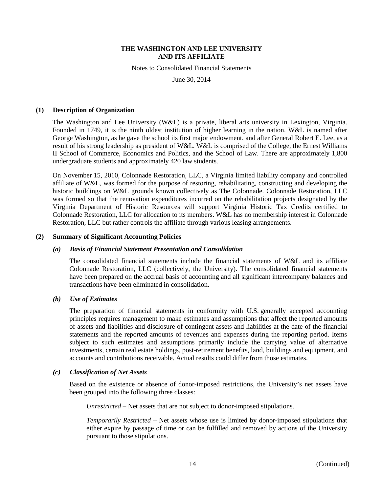Notes to Consolidated Financial Statements

June 30, 2014

### **(1) Description of Organization**

The Washington and Lee University (W&L) is a private, liberal arts university in Lexington, Virginia. Founded in 1749, it is the ninth oldest institution of higher learning in the nation. W&L is named after George Washington, as he gave the school its first major endowment, and after General Robert E. Lee, as a result of his strong leadership as president of W&L. W&L is comprised of the College, the Ernest Williams II School of Commerce, Economics and Politics, and the School of Law. There are approximately 1,800 undergraduate students and approximately 420 law students.

On November 15, 2010, Colonnade Restoration, LLC, a Virginia limited liability company and controlled affiliate of W&L, was formed for the purpose of restoring, rehabilitating, constructing and developing the historic buildings on W&L grounds known collectively as The Colonnade. Colonnade Restoration, LLC was formed so that the renovation expenditures incurred on the rehabilitation projects designated by the Virginia Department of Historic Resources will support Virginia Historic Tax Credits certified to Colonnade Restoration, LLC for allocation to its members. W&L has no membership interest in Colonnade Restoration, LLC but rather controls the affiliate through various leasing arrangements.

### **(2) Summary of Significant Accounting Policies**

#### *(a) Basis of Financial Statement Presentation and Consolidation*

The consolidated financial statements include the financial statements of W&L and its affiliate Colonnade Restoration, LLC (collectively, the University). The consolidated financial statements have been prepared on the accrual basis of accounting and all significant intercompany balances and transactions have been eliminated in consolidation.

## *(b) Use of Estimates*

The preparation of financial statements in conformity with U.S. generally accepted accounting principles requires management to make estimates and assumptions that affect the reported amounts of assets and liabilities and disclosure of contingent assets and liabilities at the date of the financial statements and the reported amounts of revenues and expenses during the reporting period. Items subject to such estimates and assumptions primarily include the carrying value of alternative investments, certain real estate holdings, post-retirement benefits, land, buildings and equipment, and accounts and contributions receivable. Actual results could differ from those estimates.

#### *(c) Classification of Net Assets*

Based on the existence or absence of donor-imposed restrictions, the University's net assets have been grouped into the following three classes:

*Unrestricted* – Net assets that are not subject to donor-imposed stipulations.

*Temporarily Restricted* – Net assets whose use is limited by donor-imposed stipulations that either expire by passage of time or can be fulfilled and removed by actions of the University pursuant to those stipulations.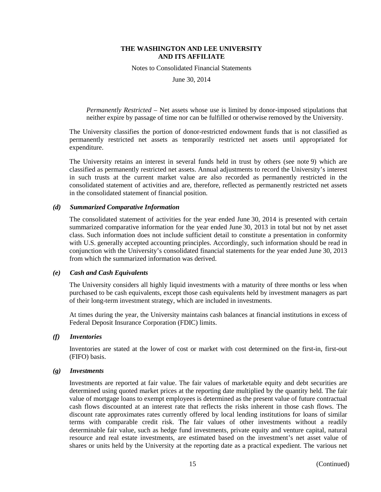Notes to Consolidated Financial Statements

June 30, 2014

*Permanently Restricted* – Net assets whose use is limited by donor-imposed stipulations that neither expire by passage of time nor can be fulfilled or otherwise removed by the University.

The University classifies the portion of donor-restricted endowment funds that is not classified as permanently restricted net assets as temporarily restricted net assets until appropriated for expenditure.

The University retains an interest in several funds held in trust by others (see note 9) which are classified as permanently restricted net assets. Annual adjustments to record the University's interest in such trusts at the current market value are also recorded as permanently restricted in the consolidated statement of activities and are, therefore, reflected as permanently restricted net assets in the consolidated statement of financial position.

### *(d) Summarized Comparative Information*

The consolidated statement of activities for the year ended June 30, 2014 is presented with certain summarized comparative information for the year ended June 30, 2013 in total but not by net asset class. Such information does not include sufficient detail to constitute a presentation in conformity with U.S. generally accepted accounting principles. Accordingly, such information should be read in conjunction with the University's consolidated financial statements for the year ended June 30, 2013 from which the summarized information was derived.

### *(e) Cash and Cash Equivalents*

The University considers all highly liquid investments with a maturity of three months or less when purchased to be cash equivalents, except those cash equivalents held by investment managers as part of their long-term investment strategy, which are included in investments.

At times during the year, the University maintains cash balances at financial institutions in excess of Federal Deposit Insurance Corporation (FDIC) limits.

### *(f) Inventories*

Inventories are stated at the lower of cost or market with cost determined on the first-in, first-out (FIFO) basis.

### *(g) Investments*

Investments are reported at fair value. The fair values of marketable equity and debt securities are determined using quoted market prices at the reporting date multiplied by the quantity held. The fair value of mortgage loans to exempt employees is determined as the present value of future contractual cash flows discounted at an interest rate that reflects the risks inherent in those cash flows. The discount rate approximates rates currently offered by local lending institutions for loans of similar terms with comparable credit risk. The fair values of other investments without a readily determinable fair value, such as hedge fund investments, private equity and venture capital, natural resource and real estate investments, are estimated based on the investment's net asset value of shares or units held by the University at the reporting date as a practical expedient. The various net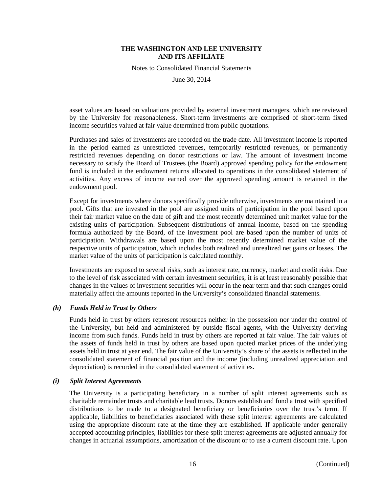Notes to Consolidated Financial Statements

June 30, 2014

asset values are based on valuations provided by external investment managers, which are reviewed by the University for reasonableness. Short-term investments are comprised of short-term fixed income securities valued at fair value determined from public quotations.

Purchases and sales of investments are recorded on the trade date. All investment income is reported in the period earned as unrestricted revenues, temporarily restricted revenues, or permanently restricted revenues depending on donor restrictions or law. The amount of investment income necessary to satisfy the Board of Trustees (the Board) approved spending policy for the endowment fund is included in the endowment returns allocated to operations in the consolidated statement of activities. Any excess of income earned over the approved spending amount is retained in the endowment pool.

Except for investments where donors specifically provide otherwise, investments are maintained in a pool. Gifts that are invested in the pool are assigned units of participation in the pool based upon their fair market value on the date of gift and the most recently determined unit market value for the existing units of participation. Subsequent distributions of annual income, based on the spending formula authorized by the Board, of the investment pool are based upon the number of units of participation. Withdrawals are based upon the most recently determined market value of the respective units of participation, which includes both realized and unrealized net gains or losses. The market value of the units of participation is calculated monthly.

Investments are exposed to several risks, such as interest rate, currency, market and credit risks. Due to the level of risk associated with certain investment securities, it is at least reasonably possible that changes in the values of investment securities will occur in the near term and that such changes could materially affect the amounts reported in the University's consolidated financial statements.

### *(h) Funds Held in Trust by Others*

Funds held in trust by others represent resources neither in the possession nor under the control of the University, but held and administered by outside fiscal agents, with the University deriving income from such funds. Funds held in trust by others are reported at fair value. The fair values of the assets of funds held in trust by others are based upon quoted market prices of the underlying assets held in trust at year end. The fair value of the University's share of the assets is reflected in the consolidated statement of financial position and the income (including unrealized appreciation and depreciation) is recorded in the consolidated statement of activities.

### *(i) Split Interest Agreements*

The University is a participating beneficiary in a number of split interest agreements such as charitable remainder trusts and charitable lead trusts. Donors establish and fund a trust with specified distributions to be made to a designated beneficiary or beneficiaries over the trust's term. If applicable, liabilities to beneficiaries associated with these split interest agreements are calculated using the appropriate discount rate at the time they are established. If applicable under generally accepted accounting principles, liabilities for these split interest agreements are adjusted annually for changes in actuarial assumptions, amortization of the discount or to use a current discount rate. Upon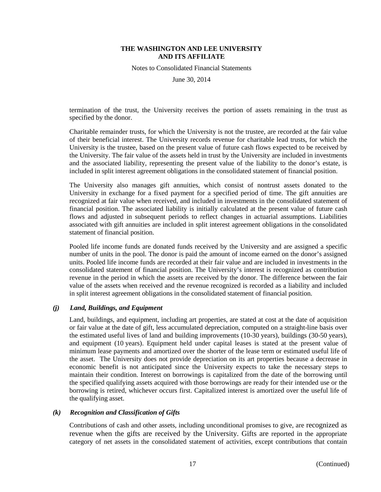Notes to Consolidated Financial Statements

June 30, 2014

termination of the trust, the University receives the portion of assets remaining in the trust as specified by the donor.

Charitable remainder trusts, for which the University is not the trustee, are recorded at the fair value of their beneficial interest. The University records revenue for charitable lead trusts, for which the University is the trustee, based on the present value of future cash flows expected to be received by the University. The fair value of the assets held in trust by the University are included in investments and the associated liability, representing the present value of the liability to the donor's estate, is included in split interest agreement obligations in the consolidated statement of financial position.

The University also manages gift annuities, which consist of nontrust assets donated to the University in exchange for a fixed payment for a specified period of time. The gift annuities are recognized at fair value when received, and included in investments in the consolidated statement of financial position. The associated liability is initially calculated at the present value of future cash flows and adjusted in subsequent periods to reflect changes in actuarial assumptions. Liabilities associated with gift annuities are included in split interest agreement obligations in the consolidated statement of financial position.

Pooled life income funds are donated funds received by the University and are assigned a specific number of units in the pool. The donor is paid the amount of income earned on the donor's assigned units. Pooled life income funds are recorded at their fair value and are included in investments in the consolidated statement of financial position. The University's interest is recognized as contribution revenue in the period in which the assets are received by the donor. The difference between the fair value of the assets when received and the revenue recognized is recorded as a liability and included in split interest agreement obligations in the consolidated statement of financial position.

### *(j) Land, Buildings, and Equipment*

Land, buildings, and equipment, including art properties, are stated at cost at the date of acquisition or fair value at the date of gift, less accumulated depreciation, computed on a straight-line basis over the estimated useful lives of land and building improvements (10-30 years), buildings (30-50 years), and equipment (10 years). Equipment held under capital leases is stated at the present value of minimum lease payments and amortized over the shorter of the lease term or estimated useful life of the asset. The University does not provide depreciation on its art properties because a decrease in economic benefit is not anticipated since the University expects to take the necessary steps to maintain their condition. Interest on borrowings is capitalized from the date of the borrowing until the specified qualifying assets acquired with those borrowings are ready for their intended use or the borrowing is retired, whichever occurs first. Capitalized interest is amortized over the useful life of the qualifying asset.

### *(k) Recognition and Classification of Gifts*

Contributions of cash and other assets, including unconditional promises to give, are recognized as revenue when the gifts are received by the University. Gifts are reported in the appropriate category of net assets in the consolidated statement of activities, except contributions that contain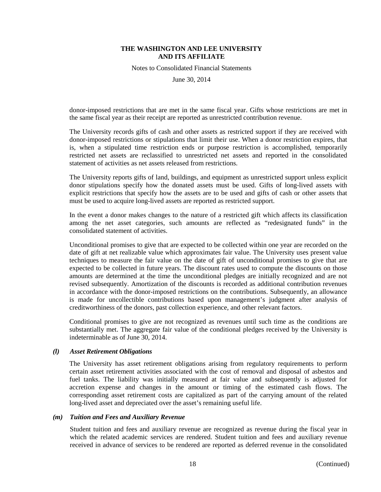Notes to Consolidated Financial Statements

June 30, 2014

donor-imposed restrictions that are met in the same fiscal year. Gifts whose restrictions are met in the same fiscal year as their receipt are reported as unrestricted contribution revenue.

The University records gifts of cash and other assets as restricted support if they are received with donor-imposed restrictions or stipulations that limit their use. When a donor restriction expires, that is, when a stipulated time restriction ends or purpose restriction is accomplished, temporarily restricted net assets are reclassified to unrestricted net assets and reported in the consolidated statement of activities as net assets released from restrictions.

The University reports gifts of land, buildings, and equipment as unrestricted support unless explicit donor stipulations specify how the donated assets must be used. Gifts of long-lived assets with explicit restrictions that specify how the assets are to be used and gifts of cash or other assets that must be used to acquire long-lived assets are reported as restricted support.

In the event a donor makes changes to the nature of a restricted gift which affects its classification among the net asset categories, such amounts are reflected as "redesignated funds" in the consolidated statement of activities.

Unconditional promises to give that are expected to be collected within one year are recorded on the date of gift at net realizable value which approximates fair value. The University uses present value techniques to measure the fair value on the date of gift of unconditional promises to give that are expected to be collected in future years. The discount rates used to compute the discounts on those amounts are determined at the time the unconditional pledges are initially recognized and are not revised subsequently. Amortization of the discounts is recorded as additional contribution revenues in accordance with the donor-imposed restrictions on the contributions. Subsequently, an allowance is made for uncollectible contributions based upon management's judgment after analysis of creditworthiness of the donors, past collection experience, and other relevant factors.

Conditional promises to give are not recognized as revenues until such time as the conditions are substantially met. The aggregate fair value of the conditional pledges received by the University is indeterminable as of June 30, 2014.

### *(l) Asset Retirement Obligations*

The University has asset retirement obligations arising from regulatory requirements to perform certain asset retirement activities associated with the cost of removal and disposal of asbestos and fuel tanks. The liability was initially measured at fair value and subsequently is adjusted for accretion expense and changes in the amount or timing of the estimated cash flows. The corresponding asset retirement costs are capitalized as part of the carrying amount of the related long-lived asset and depreciated over the asset's remaining useful life.

### *(m) Tuition and Fees and Auxiliary Revenue*

Student tuition and fees and auxiliary revenue are recognized as revenue during the fiscal year in which the related academic services are rendered. Student tuition and fees and auxiliary revenue received in advance of services to be rendered are reported as deferred revenue in the consolidated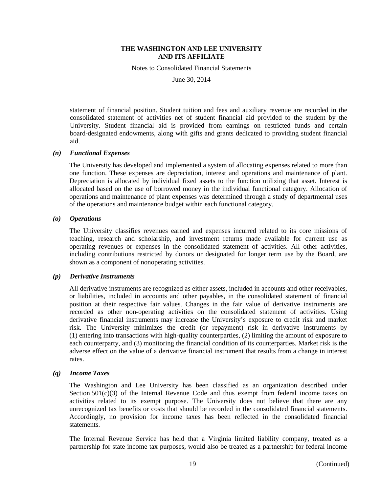Notes to Consolidated Financial Statements

June 30, 2014

statement of financial position. Student tuition and fees and auxiliary revenue are recorded in the consolidated statement of activities net of student financial aid provided to the student by the University. Student financial aid is provided from earnings on restricted funds and certain board-designated endowments, along with gifts and grants dedicated to providing student financial aid.

### *(n) Functional Expenses*

The University has developed and implemented a system of allocating expenses related to more than one function. These expenses are depreciation, interest and operations and maintenance of plant. Depreciation is allocated by individual fixed assets to the function utilizing that asset. Interest is allocated based on the use of borrowed money in the individual functional category. Allocation of operations and maintenance of plant expenses was determined through a study of departmental uses of the operations and maintenance budget within each functional category.

### *(o) Operations*

The University classifies revenues earned and expenses incurred related to its core missions of teaching, research and scholarship, and investment returns made available for current use as operating revenues or expenses in the consolidated statement of activities. All other activities, including contributions restricted by donors or designated for longer term use by the Board, are shown as a component of nonoperating activities.

#### *(p) Derivative Instruments*

All derivative instruments are recognized as either assets, included in accounts and other receivables, or liabilities, included in accounts and other payables, in the consolidated statement of financial position at their respective fair values. Changes in the fair value of derivative instruments are recorded as other non-operating activities on the consolidated statement of activities. Using derivative financial instruments may increase the University's exposure to credit risk and market risk. The University minimizes the credit (or repayment) risk in derivative instruments by (1) entering into transactions with high-quality counterparties, (2) limiting the amount of exposure to each counterparty, and (3) monitoring the financial condition of its counterparties. Market risk is the adverse effect on the value of a derivative financial instrument that results from a change in interest rates.

#### *(q) Income Taxes*

The Washington and Lee University has been classified as an organization described under Section  $501(c)(3)$  of the Internal Revenue Code and thus exempt from federal income taxes on activities related to its exempt purpose. The University does not believe that there are any unrecognized tax benefits or costs that should be recorded in the consolidated financial statements. Accordingly, no provision for income taxes has been reflected in the consolidated financial statements.

The Internal Revenue Service has held that a Virginia limited liability company, treated as a partnership for state income tax purposes, would also be treated as a partnership for federal income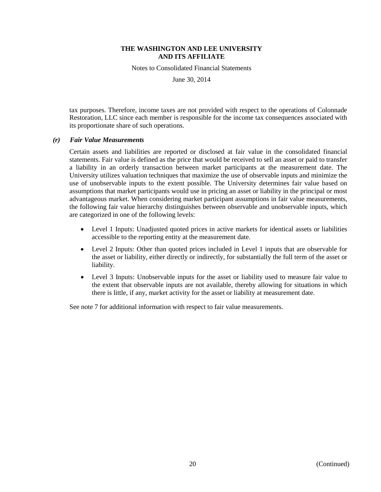Notes to Consolidated Financial Statements

June 30, 2014

tax purposes. Therefore, income taxes are not provided with respect to the operations of Colonnade Restoration, LLC since each member is responsible for the income tax consequences associated with its proportionate share of such operations.

### *(r) Fair Value Measurements*

Certain assets and liabilities are reported or disclosed at fair value in the consolidated financial statements. Fair value is defined as the price that would be received to sell an asset or paid to transfer a liability in an orderly transaction between market participants at the measurement date. The University utilizes valuation techniques that maximize the use of observable inputs and minimize the use of unobservable inputs to the extent possible. The University determines fair value based on assumptions that market participants would use in pricing an asset or liability in the principal or most advantageous market. When considering market participant assumptions in fair value measurements, the following fair value hierarchy distinguishes between observable and unobservable inputs, which are categorized in one of the following levels:

- Level 1 Inputs: Unadjusted quoted prices in active markets for identical assets or liabilities accessible to the reporting entity at the measurement date.
- Level 2 Inputs: Other than quoted prices included in Level 1 inputs that are observable for the asset or liability, either directly or indirectly, for substantially the full term of the asset or liability.
- Level 3 Inputs: Unobservable inputs for the asset or liability used to measure fair value to the extent that observable inputs are not available, thereby allowing for situations in which there is little, if any, market activity for the asset or liability at measurement date.

See note 7 for additional information with respect to fair value measurements.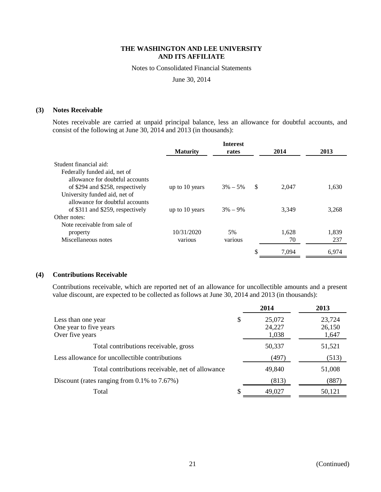Notes to Consolidated Financial Statements

June 30, 2014

### **(3) Notes Receivable**

Notes receivable are carried at unpaid principal balance, less an allowance for doubtful accounts, and consist of the following at June 30, 2014 and 2013 (in thousands):

|                                  |                 | <b>Interest</b> |               |       |       |
|----------------------------------|-----------------|-----------------|---------------|-------|-------|
|                                  | <b>Maturity</b> | rates           |               | 2014  | 2013  |
| Student financial aid:           |                 |                 |               |       |       |
| Federally funded aid, net of     |                 |                 |               |       |       |
| allowance for doubtful accounts  |                 |                 |               |       |       |
| of \$294 and \$258, respectively | up to 10 years  | $3\% - 5\%$     | <sup>\$</sup> | 2,047 | 1,630 |
| University funded aid, net of    |                 |                 |               |       |       |
| allowance for doubtful accounts  |                 |                 |               |       |       |
| of \$311 and \$259, respectively | up to 10 years  | $3\% - 9\%$     |               | 3.349 | 3,268 |
| Other notes:                     |                 |                 |               |       |       |
| Note receivable from sale of     |                 |                 |               |       |       |
| property                         | 10/31/2020      | 5%              |               | 1,628 | 1,839 |
| Miscellaneous notes              | various         | various         |               | 70    | 237   |
|                                  |                 |                 | \$            | 7.094 | 6.974 |

### **(4) Contributions Receivable**

Contributions receivable, which are reported net of an allowance for uncollectible amounts and a present value discount, are expected to be collected as follows at June 30, 2014 and 2013 (in thousands):

|                                                                 | 2014                            | 2013                      |
|-----------------------------------------------------------------|---------------------------------|---------------------------|
| Less than one year<br>One year to five years<br>Over five years | \$<br>25,072<br>24,227<br>1,038 | 23,724<br>26,150<br>1,647 |
| Total contributions receivable, gross                           | 50,337                          | 51,521                    |
| Less allowance for uncollectible contributions                  | (497)                           | (513)                     |
| Total contributions receivable, net of allowance                | 49,840                          | 51,008                    |
| Discount (rates ranging from $0.1\%$ to 7.67%)                  | (813)                           | (887)                     |
| Total                                                           | 49,027                          | 50,121                    |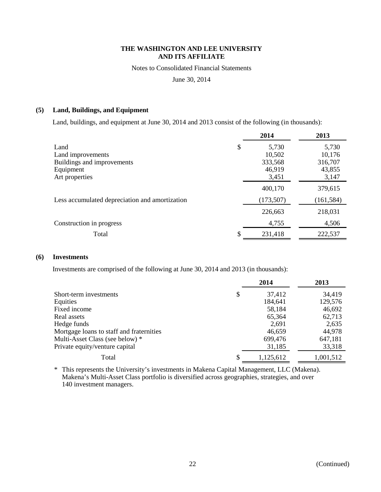Notes to Consolidated Financial Statements

June 30, 2014

### **(5) Land, Buildings, and Equipment**

Land, buildings, and equipment at June 30, 2014 and 2013 consist of the following (in thousands):

|                                                |    | 2014       | 2013       |
|------------------------------------------------|----|------------|------------|
| Land                                           | \$ | 5,730      | 5,730      |
| Land improvements                              |    | 10,502     | 10,176     |
| Buildings and improvements                     |    | 333,568    | 316,707    |
| Equipment                                      |    | 46,919     | 43,855     |
| Art properties                                 |    | 3,451      | 3,147      |
|                                                |    | 400,170    | 379,615    |
| Less accumulated depreciation and amortization |    | (173, 507) | (161, 584) |
|                                                |    | 226,663    | 218,031    |
| Construction in progress                       |    | 4,755      | 4,506      |
| Total                                          | ς  | 231,418    | 222,537    |

### **(6) Investments**

Investments are comprised of the following at June 30, 2014 and 2013 (in thousands):

|                                          |    | 2014      | 2013      |
|------------------------------------------|----|-----------|-----------|
| Short-term investments                   | \$ | 37,412    | 34,419    |
| Equities                                 |    | 184,641   | 129,576   |
| Fixed income                             |    | 58,184    | 46,692    |
| Real assets                              |    | 65,364    | 62,713    |
| Hedge funds                              |    | 2,691     | 2,635     |
| Mortgage loans to staff and fraternities |    | 46,659    | 44,978    |
| Multi-Asset Class (see below) *          |    | 699,476   | 647,181   |
| Private equity/venture capital           |    | 31,185    | 33,318    |
| Total                                    | S  | 1,125,612 | 1,001,512 |

\* This represents the University's investments in Makena Capital Management, LLC (Makena). Makena's Multi-Asset Class portfolio is diversified across geographies, strategies, and over 140 investment managers.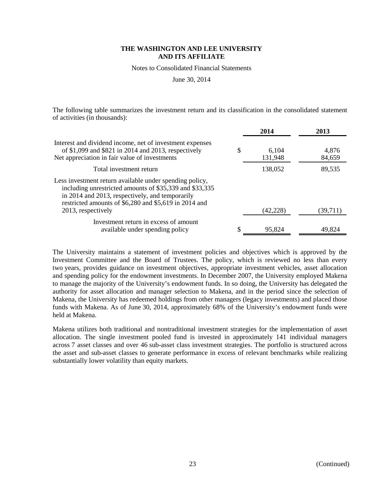Notes to Consolidated Financial Statements

June 30, 2014

The following table summarizes the investment return and its classification in the consolidated statement of activities (in thousands):

|                                                                                                                                                                                                                                                      | 2014                   | 2013            |
|------------------------------------------------------------------------------------------------------------------------------------------------------------------------------------------------------------------------------------------------------|------------------------|-----------------|
| Interest and dividend income, net of investment expenses<br>of \$1,099 and \$821 in 2014 and 2013, respectively<br>Net appreciation in fair value of investments                                                                                     | \$<br>6,104<br>131,948 | 4,876<br>84,659 |
| Total investment return                                                                                                                                                                                                                              | 138,052                | 89,535          |
| Less investment return available under spending policy,<br>including unrestricted amounts of \$35,339 and \$33,335<br>in 2014 and 2013, respectively, and temporarily<br>restricted amounts of \$6,280 and \$5,619 in 2014 and<br>2013, respectively | (42, 228)              | (39,711)        |
| Investment return in excess of amount<br>available under spending policy                                                                                                                                                                             | 95,824                 | 49,824          |

The University maintains a statement of investment policies and objectives which is approved by the Investment Committee and the Board of Trustees. The policy, which is reviewed no less than every two years, provides guidance on investment objectives, appropriate investment vehicles, asset allocation and spending policy for the endowment investments. In December 2007, the University employed Makena to manage the majority of the University's endowment funds. In so doing, the University has delegated the authority for asset allocation and manager selection to Makena, and in the period since the selection of Makena, the University has redeemed holdings from other managers (legacy investments) and placed those funds with Makena. As of June 30, 2014, approximately 68% of the University's endowment funds were held at Makena.

Makena utilizes both traditional and nontraditional investment strategies for the implementation of asset allocation. The single investment pooled fund is invested in approximately 141 individual managers across 7 asset classes and over 46 sub-asset class investment strategies. The portfolio is structured across the asset and sub-asset classes to generate performance in excess of relevant benchmarks while realizing substantially lower volatility than equity markets.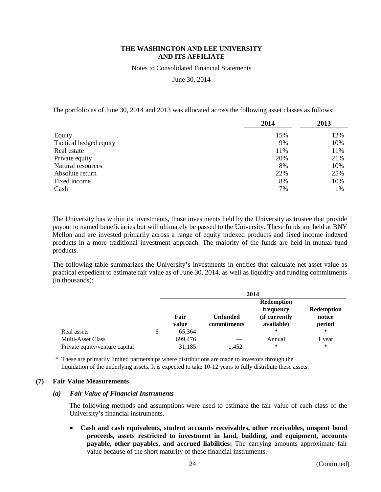Notes to Consolidated Financial Statements

June 30, 2014

The portfolio as of June 30, 2014 and 2013 was allocated across the following asset classes as follows:

|                        | 2014 | 2013 |
|------------------------|------|------|
| Equity                 | 15%  | 12%  |
| Tactical hedged equity | 9%   | 10%  |
| Real estate            | 11%  | 11%  |
| Private equity         | 20%  | 21%  |
| Natural resources      | 8%   | 10%  |
| Absolute return        | 22%  | 25%  |
| Fixed income           | 8%   | 10%  |
| Cash                   | 7%   | 1%   |

The University has within its investments, those investments held by the University as trustee that provide payout to named beneficiaries but will ultimately be passed to the University. These funds are held at BNY Mellon and are invested primarily across a range of equity indexed products and fixed income indexed products in a more traditional investment approach. The majority of the funds are held in mutual fund products.

The following table summarizes the University's investments in entities that calculate net asset value as practical expedient to estimate fair value as of June 30, 2014, as well as liquidity and funding commitments (in thousands):

|                                |  | 2014          |                                |                                                               |                                       |  |
|--------------------------------|--|---------------|--------------------------------|---------------------------------------------------------------|---------------------------------------|--|
|                                |  | Fair<br>value | <b>Unfunded</b><br>commitments | <b>Redemption</b><br>frequency<br>(if currently<br>available) | <b>Redemption</b><br>notice<br>period |  |
| Real assets                    |  | 65,364        |                                | $\ast$                                                        | $\ast$                                |  |
| <b>Multi-Asset Class</b>       |  | 699,476       |                                | Annual                                                        | vear                                  |  |
| Private equity/venture capital |  | 31.185        | 1.452                          | ∗                                                             | *                                     |  |

\* These are primarily limited partnerships where distributions are made to investors through the liquidation of the underlying assets. It is expected to take 10-12 years to fully distribute these assets.

### **(7) Fair Value Measurements**

### *(a) Fair Value of Financial Instruments*

The following methods and assumptions were used to estimate the fair value of each class of the University's financial instruments.

• **Cash and cash equivalents, student accounts receivables, other receivables, unspent bond proceeds, assets restricted to investment in land, building, and equipment, accounts payable, other payables, and accrued liabilities:** The carrying amounts approximate fair value because of the short maturity of these financial instruments.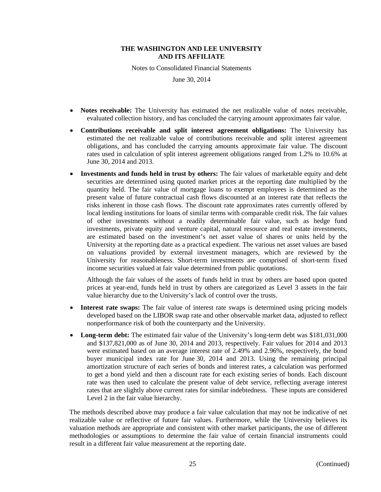Notes to Consolidated Financial Statements

June 30, 2014

- **Notes receivable:** The University has estimated the net realizable value of notes receivable, evaluated collection history, and has concluded the carrying amount approximates fair value.
- **Contributions receivable and split interest agreement obligations:** The University has estimated the net realizable value of contributions receivable and split interest agreement obligations, and has concluded the carrying amounts approximate fair value. The discount rates used in calculation of split interest agreement obligations ranged from 1.2% to 10.6% at June 30, 2014 and 2013.
- **Investments and funds held in trust by others:** The fair values of marketable equity and debt securities are determined using quoted market prices at the reporting date multiplied by the quantity held. The fair value of mortgage loans to exempt employees is determined as the present value of future contractual cash flows discounted at an interest rate that reflects the risks inherent in those cash flows. The discount rate approximates rates currently offered by local lending institutions for loans of similar terms with comparable credit risk. The fair values of other investments without a readily determinable fair value, such as hedge fund investments, private equity and venture capital, natural resource and real estate investments, are estimated based on the investment's net asset value of shares or units held by the University at the reporting date as a practical expedient. The various net asset values are based on valuations provided by external investment managers, which are reviewed by the University for reasonableness. Short-term investments are comprised of short-term fixed income securities valued at fair value determined from public quotations.

Although the fair values of the assets of funds held in trust by others are based upon quoted prices at year-end, funds held in trust by others are categorized as Level 3 assets in the fair value hierarchy due to the University's lack of control over the trusts.

- **Interest rate swaps:** The fair value of interest rate swaps is determined using pricing models developed based on the LIBOR swap rate and other observable market data, adjusted to reflect nonperformance risk of both the counterparty and the University.
- Long-term debt: The estimated fair value of the University's long-term debt was \$181,031,000 and \$137,821,000 as of June 30, 2014 and 2013, respectively. Fair values for 2014 and 2013 were estimated based on an average interest rate of 2.49% and 2.96%, respectively, the bond buyer municipal index rate for June 30, 2014 and 2013. Using the remaining principal amortization structure of each series of bonds and interest rates, a calculation was performed to get a bond yield and then a discount rate for each existing series of bonds. Each discount rate was then used to calculate the present value of debt service, reflecting average interest rates that are slightly above current rates for similar indebtedness. These inputs are considered Level 2 in the fair value hierarchy.

The methods described above may produce a fair value calculation that may not be indicative of net realizable value or reflective of future fair values. Furthermore, while the University believes its valuation methods are appropriate and consistent with other market participants, the use of different methodologies or assumptions to determine the fair value of certain financial instruments could result in a different fair value measurement at the reporting date.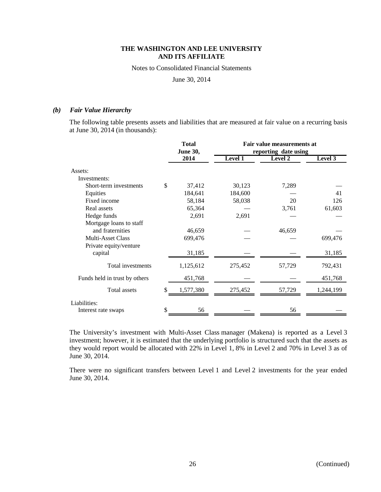Notes to Consolidated Financial Statements

June 30, 2014

### *(b) Fair Value Hierarchy*

The following table presents assets and liabilities that are measured at fair value on a recurring basis at June 30, 2014 (in thousands):

|                               | <b>Total</b>    | Fair value measurements at<br>reporting date using |                |           |  |
|-------------------------------|-----------------|----------------------------------------------------|----------------|-----------|--|
|                               | <b>June 30,</b> |                                                    |                |           |  |
|                               | 2014            | <b>Level 1</b>                                     | <b>Level 2</b> | Level 3   |  |
| Assets:                       |                 |                                                    |                |           |  |
| Investments:                  |                 |                                                    |                |           |  |
| Short-term investments        | \$<br>37,412    | 30,123                                             | 7,289          |           |  |
| Equities                      | 184,641         | 184,600                                            |                | 41        |  |
| Fixed income                  | 58,184          | 58,038                                             | 20             | 126       |  |
| Real assets                   | 65,364          |                                                    | 3,761          | 61,603    |  |
| Hedge funds                   | 2,691           | 2,691                                              |                |           |  |
| Mortgage loans to staff       |                 |                                                    |                |           |  |
| and fraternities              | 46,659          |                                                    | 46,659         |           |  |
| Multi-Asset Class             | 699,476         |                                                    |                | 699,476   |  |
| Private equity/venture        |                 |                                                    |                |           |  |
| capital                       | 31,185          |                                                    |                | 31,185    |  |
| Total investments             | 1,125,612       | 275,452                                            | 57,729         | 792,431   |  |
| Funds held in trust by others | 451,768         |                                                    |                | 451,768   |  |
| Total assets                  | \$<br>1,577,380 | 275,452                                            | 57,729         | 1,244,199 |  |
| Liabilities:                  |                 |                                                    |                |           |  |
| Interest rate swaps           | \$<br>56        |                                                    | 56             |           |  |

The University's investment with Multi-Asset Class manager (Makena) is reported as a Level 3 investment; however, it is estimated that the underlying portfolio is structured such that the assets as they would report would be allocated with 22% in Level 1, 8% in Level 2 and 70% in Level 3 as of June 30, 2014.

There were no significant transfers between Level 1 and Level 2 investments for the year ended June 30, 2014.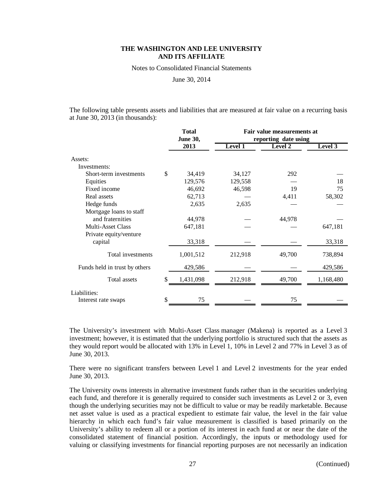Notes to Consolidated Financial Statements

June 30, 2014

The following table presents assets and liabilities that are measured at fair value on a recurring basis at June 30, 2013 (in thousands):

|                               |               | <b>Total</b><br><b>June 30,</b> | Fair value measurements at<br>reporting date using |                |           |  |
|-------------------------------|---------------|---------------------------------|----------------------------------------------------|----------------|-----------|--|
|                               |               | 2013                            | <b>Level 1</b>                                     | <b>Level 2</b> | Level 3   |  |
| Assets:                       |               |                                 |                                                    |                |           |  |
| Investments:                  |               |                                 |                                                    |                |           |  |
| Short-term investments        | $\mathsf{\$}$ | 34,419                          | 34,127                                             | 292            |           |  |
| Equities                      |               | 129,576                         | 129,558                                            |                | 18        |  |
| Fixed income                  |               | 46,692                          | 46,598                                             | 19             | 75        |  |
| Real assets                   |               | 62,713                          |                                                    | 4,411          | 58,302    |  |
| Hedge funds                   |               | 2,635                           | 2,635                                              |                |           |  |
| Mortgage loans to staff       |               |                                 |                                                    |                |           |  |
| and fraternities              |               | 44,978                          |                                                    | 44,978         |           |  |
| <b>Multi-Asset Class</b>      |               | 647,181                         |                                                    |                | 647,181   |  |
| Private equity/venture        |               |                                 |                                                    |                |           |  |
| capital                       |               | 33,318                          |                                                    |                | 33,318    |  |
| Total investments             |               | 1,001,512                       | 212,918                                            | 49,700         | 738,894   |  |
| Funds held in trust by others |               | 429,586                         |                                                    |                | 429,586   |  |
| Total assets                  | \$            | 1,431,098                       | 212,918                                            | 49,700         | 1,168,480 |  |
| Liabilities:                  |               |                                 |                                                    |                |           |  |
| Interest rate swaps           | \$            | 75                              |                                                    | 75             |           |  |

The University's investment with Multi-Asset Class manager (Makena) is reported as a Level 3 investment; however, it is estimated that the underlying portfolio is structured such that the assets as they would report would be allocated with 13% in Level 1, 10% in Level 2 and 77% in Level 3 as of June 30, 2013.

There were no significant transfers between Level 1 and Level 2 investments for the year ended June 30, 2013.

The University owns interests in alternative investment funds rather than in the securities underlying each fund, and therefore it is generally required to consider such investments as Level 2 or 3, even though the underlying securities may not be difficult to value or may be readily marketable. Because net asset value is used as a practical expedient to estimate fair value, the level in the fair value hierarchy in which each fund's fair value measurement is classified is based primarily on the University's ability to redeem all or a portion of its interest in each fund at or near the date of the consolidated statement of financial position. Accordingly, the inputs or methodology used for valuing or classifying investments for financial reporting purposes are not necessarily an indication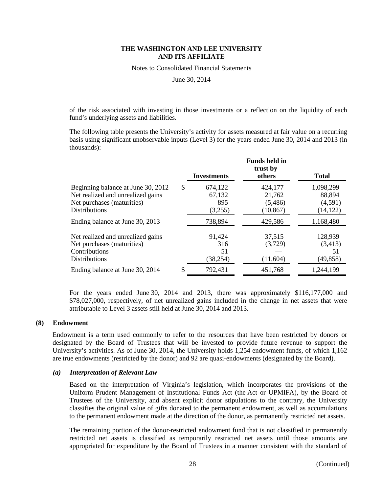Notes to Consolidated Financial Statements

June 30, 2014

of the risk associated with investing in those investments or a reflection on the liquidity of each fund's underlying assets and liabilities.

The following table presents the University's activity for assets measured at fair value on a recurring basis using significant unobservable inputs (Level 3) for the years ended June 30, 2014 and 2013 (in thousands):

|                                                                                                                               | Investments                               | <b>Funds held in</b><br>trust by<br>others | <b>Total</b>                                |
|-------------------------------------------------------------------------------------------------------------------------------|-------------------------------------------|--------------------------------------------|---------------------------------------------|
| Beginning balance at June 30, 2012<br>Net realized and unrealized gains<br>Net purchases (maturities)<br><b>Distributions</b> | \$<br>674,122<br>67,132<br>895<br>(3,255) | 424,177<br>21,762<br>(5,486)<br>(10, 867)  | 1,098,299<br>88,894<br>(4,591)<br>(14, 122) |
| Ending balance at June 30, 2013                                                                                               | 738,894                                   | 429,586                                    | 1,168,480                                   |
| Net realized and unrealized gains<br>Net purchases (maturities)<br>Contributions<br><b>Distributions</b>                      | 91,424<br>316<br>51<br>(38, 254)          | 37,515<br>(3,729)<br>(11,604)              | 128,939<br>(3, 413)<br>51<br>(49, 858)      |
| Ending balance at June 30, 2014                                                                                               | \$<br>792,431                             | 451,768                                    | 1,244,199                                   |

For the years ended June 30, 2014 and 2013, there was approximately \$116,177,000 and \$78,027,000, respectively, of net unrealized gains included in the change in net assets that were attributable to Level 3 assets still held at June 30, 2014 and 2013.

### **(8) Endowment**

Endowment is a term used commonly to refer to the resources that have been restricted by donors or designated by the Board of Trustees that will be invested to provide future revenue to support the University's activities. As of June 30, 2014, the University holds 1,254 endowment funds, of which 1,162 are true endowments (restricted by the donor) and 92 are quasi-endowments (designated by the Board).

### *(a) Interpretation of Relevant Law*

Based on the interpretation of Virginia's legislation, which incorporates the provisions of the Uniform Prudent Management of Institutional Funds Act (the Act or UPMIFA), by the Board of Trustees of the University, and absent explicit donor stipulations to the contrary, the University classifies the original value of gifts donated to the permanent endowment, as well as accumulations to the permanent endowment made at the direction of the donor, as permanently restricted net assets.

The remaining portion of the donor-restricted endowment fund that is not classified in permanently restricted net assets is classified as temporarily restricted net assets until those amounts are appropriated for expenditure by the Board of Trustees in a manner consistent with the standard of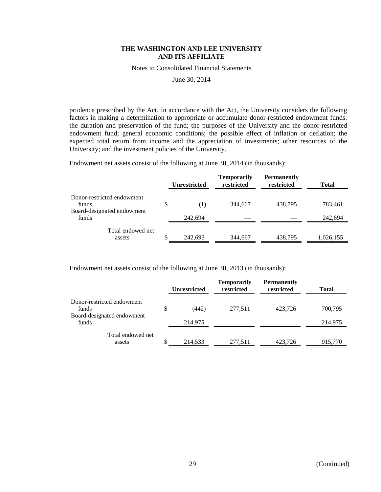Notes to Consolidated Financial Statements

June 30, 2014

prudence prescribed by the Act. In accordance with the Act, the University considers the following factors in making a determination to appropriate or accumulate donor-restricted endowment funds: the duration and preservation of the fund; the purposes of the University and the donor-restricted endowment fund; general economic conditions; the possible effect of inflation or deflation; the expected total return from income and the appreciation of investments; other resources of the University; and the investment policies of the University.

Endowment net assets consist of the following at June 30, 2014 (in thousands):

|                                     | <b>Unrestricted</b> | <b>Temporarily</b><br>restricted | <b>Permanently</b><br>restricted | <b>Total</b> |
|-------------------------------------|---------------------|----------------------------------|----------------------------------|--------------|
| Donor-restricted endowment<br>funds | (1)                 | 344.667                          | 438,795                          | 783,461      |
| Board-designated endowment<br>funds | 242.694             |                                  |                                  | 242,694      |
| Total endowed net<br>assets         | 242.693             | 344,667                          | 438,795                          | 1,026,155    |

Endowment net assets consist of the following at June 30, 2013 (in thousands):

|                                     | <b>Unrestricted</b> | <b>Temporarily</b><br>restricted | <b>Permanently</b><br>restricted | <b>Total</b> |
|-------------------------------------|---------------------|----------------------------------|----------------------------------|--------------|
| Donor-restricted endowment<br>funds | (442)               | 277,511                          | 423,726                          | 700,795      |
| Board-designated endowment<br>funds | 214,975             |                                  |                                  | 214,975      |
| Total endowed net<br>assets         | 214,533             | 277,511                          | 423,726                          | 915,770      |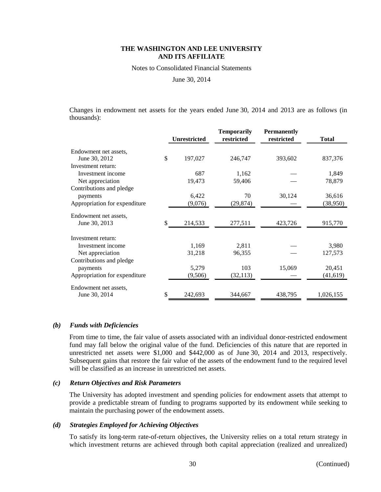Notes to Consolidated Financial Statements

June 30, 2014

Changes in endowment net assets for the years ended June 30, 2014 and 2013 are as follows (in thousands):

|                                        | <b>Unrestricted</b> | <b>Temporarily</b><br>restricted | <b>Permanently</b><br>restricted | <b>Total</b> |
|----------------------------------------|---------------------|----------------------------------|----------------------------------|--------------|
| Endowment net assets.<br>June 30, 2012 | \$<br>197,027       | 246,747                          | 393,602                          | 837,376      |
| Investment return:                     |                     |                                  |                                  |              |
| Investment income                      | 687                 | 1,162                            |                                  | 1,849        |
| Net appreciation                       | 19,473              | 59,406                           |                                  | 78,879       |
| Contributions and pledge               |                     |                                  |                                  |              |
| payments                               | 6,422               | 70                               | 30,124                           | 36,616       |
| Appropriation for expenditure          | (9,076)             | (29, 874)                        |                                  | (38,950)     |
| Endowment net assets,                  |                     |                                  |                                  |              |
| June 30, 2013                          | \$<br>214,533       | 277,511                          | 423,726                          | 915,770      |
| Investment return:                     |                     |                                  |                                  |              |
| Investment income                      | 1,169               | 2,811                            |                                  | 3,980        |
| Net appreciation                       | 31,218              | 96,355                           |                                  | 127,573      |
| Contributions and pledge               |                     |                                  |                                  |              |
| payments                               | 5,279               | 103                              | 15,069                           | 20,451       |
| Appropriation for expenditure          | (9,506)             | (32, 113)                        |                                  | (41,619)     |
| Endowment net assets,                  |                     |                                  |                                  |              |
| June 30, 2014                          | \$<br>242,693       | 344,667                          | 438,795                          | 1,026,155    |

#### *(b) Funds with Deficiencies*

From time to time, the fair value of assets associated with an individual donor-restricted endowment fund may fall below the original value of the fund. Deficiencies of this nature that are reported in unrestricted net assets were \$1,000 and \$442,000 as of June 30, 2014 and 2013, respectively. Subsequent gains that restore the fair value of the assets of the endowment fund to the required level will be classified as an increase in unrestricted net assets.

### *(c) Return Objectives and Risk Parameters*

The University has adopted investment and spending policies for endowment assets that attempt to provide a predictable stream of funding to programs supported by its endowment while seeking to maintain the purchasing power of the endowment assets.

### *(d) Strategies Employed for Achieving Objectives*

To satisfy its long-term rate-of-return objectives, the University relies on a total return strategy in which investment returns are achieved through both capital appreciation (realized and unrealized)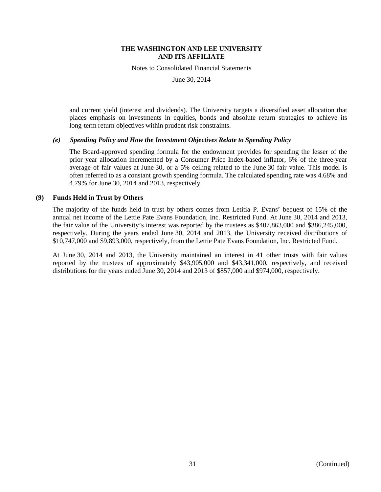Notes to Consolidated Financial Statements

June 30, 2014

and current yield (interest and dividends). The University targets a diversified asset allocation that places emphasis on investments in equities, bonds and absolute return strategies to achieve its long-term return objectives within prudent risk constraints.

### *(e) Spending Policy and How the Investment Objectives Relate to Spending Policy*

The Board-approved spending formula for the endowment provides for spending the lesser of the prior year allocation incremented by a Consumer Price Index-based inflator, 6% of the three-year average of fair values at June 30, or a 5% ceiling related to the June 30 fair value. This model is often referred to as a constant growth spending formula. The calculated spending rate was 4.68% and 4.79% for June 30, 2014 and 2013, respectively.

### **(9) Funds Held in Trust by Others**

The majority of the funds held in trust by others comes from Letitia P. Evans' bequest of 15% of the annual net income of the Lettie Pate Evans Foundation, Inc. Restricted Fund. At June 30, 2014 and 2013, the fair value of the University's interest was reported by the trustees as \$407,863,000 and \$386,245,000, respectively. During the years ended June 30, 2014 and 2013, the University received distributions of \$10,747,000 and \$9,893,000, respectively, from the Lettie Pate Evans Foundation, Inc. Restricted Fund.

At June 30, 2014 and 2013, the University maintained an interest in 41 other trusts with fair values reported by the trustees of approximately \$43,905,000 and \$43,341,000, respectively, and received distributions for the years ended June 30, 2014 and 2013 of \$857,000 and \$974,000, respectively.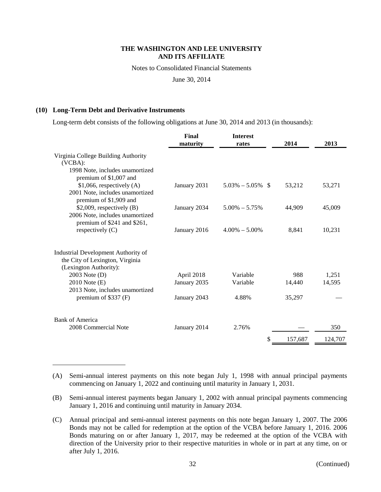Notes to Consolidated Financial Statements

June 30, 2014

### **(10) Long-Term Debt and Derivative Instruments**

Long-term debt consists of the following obligations at June 30, 2014 and 2013 (in thousands):

|                                                                                                             | Final<br>maturity | <b>Interest</b><br>rates | 2014    | 2013    |
|-------------------------------------------------------------------------------------------------------------|-------------------|--------------------------|---------|---------|
| Virginia College Building Authority<br>(VCBA):<br>1998 Note, includes unamortized<br>premium of \$1,007 and |                   |                          |         |         |
| $$1,066$ , respectively (A)<br>2001 Note, includes unamortized<br>premium of \$1,909 and                    | January 2031      | $5.03\% - 5.05\%$ \$     | 53,212  | 53,271  |
| $$2,009$ , respectively (B)<br>2006 Note, includes unamortized<br>premium of \$241 and \$261,               | January 2034      | $5.00\% - 5.75\%$        | 44,909  | 45,009  |
| respectively $(C)$                                                                                          | January 2016      | $4.00\% - 5.00\%$        | 8,841   | 10,231  |
| Industrial Development Authority of<br>the City of Lexington, Virginia<br>(Lexington Authority):            |                   |                          |         |         |
| 2003 Note (D)                                                                                               | April 2018        | Variable                 | 988     | 1,251   |
| 2010 Note (E)<br>2013 Note, includes unamortized                                                            | January 2035      | Variable                 | 14,440  | 14,595  |
| premium of $$337(F)$                                                                                        | January 2043      | 4.88%                    | 35,297  |         |
| <b>Bank of America</b>                                                                                      |                   |                          |         |         |
| 2008 Commercial Note                                                                                        | January 2014      | 2.76%                    |         | 350     |
|                                                                                                             |                   |                          | 157,687 | 124,707 |

<sup>(</sup>A) Semi-annual interest payments on this note began July 1, 1998 with annual principal payments commencing on January 1, 2022 and continuing until maturity in January 1, 2031.

<sup>(</sup>B) Semi-annual interest payments began January 1, 2002 with annual principal payments commencing January 1, 2016 and continuing until maturity in January 2034.

<sup>(</sup>C) Annual principal and semi-annual interest payments on this note began January 1, 2007. The 2006 Bonds may not be called for redemption at the option of the VCBA before January 1, 2016. 2006 Bonds maturing on or after January 1, 2017, may be redeemed at the option of the VCBA with direction of the University prior to their respective maturities in whole or in part at any time, on or after July 1, 2016.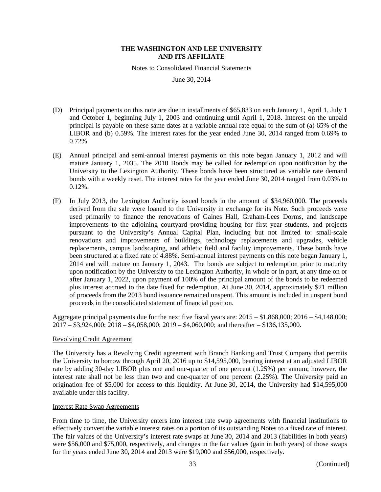Notes to Consolidated Financial Statements

June 30, 2014

- (D) Principal payments on this note are due in installments of \$65,833 on each January 1, April 1, July 1 and October 1, beginning July 1, 2003 and continuing until April 1, 2018. Interest on the unpaid principal is payable on these same dates at a variable annual rate equal to the sum of (a) 65% of the LIBOR and (b) 0.59%. The interest rates for the year ended June 30, 2014 ranged from 0.69% to 0.72%.
- (E) Annual principal and semi-annual interest payments on this note began January 1, 2012 and will mature January 1, 2035. The 2010 Bonds may be called for redemption upon notification by the University to the Lexington Authority. These bonds have been structured as variable rate demand bonds with a weekly reset. The interest rates for the year ended June 30, 2014 ranged from 0.03% to 0.12%.
- (F) In July 2013, the Lexington Authority issued bonds in the amount of \$34,960,000. The proceeds derived from the sale were loaned to the University in exchange for its Note. Such proceeds were used primarily to finance the renovations of Gaines Hall, Graham-Lees Dorms, and landscape improvements to the adjoining courtyard providing housing for first year students, and projects pursuant to the University's Annual Capital Plan, including but not limited to: small-scale renovations and improvements of buildings, technology replacements and upgrades, vehicle replacements, campus landscaping, and athletic field and facility improvements. These bonds have been structured at a fixed rate of 4.88%. Semi-annual interest payments on this note began January 1, 2014 and will mature on January 1, 2043. The bonds are subject to redemption prior to maturity upon notification by the University to the Lexington Authority, in whole or in part, at any time on or after January 1, 2022, upon payment of 100% of the principal amount of the bonds to be redeemed plus interest accrued to the date fixed for redemption. At June 30, 2014, approximately \$21 million of proceeds from the 2013 bond issuance remained unspent. This amount is included in unspent bond proceeds in the consolidated statement of financial position.

Aggregate principal payments due for the next five fiscal years are: 2015 – \$1,868,000; 2016 – \$4,148,000; 2017 – \$3,924,000; 2018 – \$4,058,000; 2019 – \$4,060,000; and thereafter – \$136,135,000.

### Revolving Credit Agreement

The University has a Revolving Credit agreement with Branch Banking and Trust Company that permits the University to borrow through April 20, 2016 up to \$14,595,000, bearing interest at an adjusted LIBOR rate by adding 30-day LIBOR plus one and one-quarter of one percent (1.25%) per annum; however, the interest rate shall not be less than two and one-quarter of one percent (2.25%). The University paid an origination fee of \$5,000 for access to this liquidity. At June 30, 2014, the University had \$14,595,000 available under this facility.

### Interest Rate Swap Agreements

From time to time, the University enters into interest rate swap agreements with financial institutions to effectively convert the variable interest rates on a portion of its outstanding Notes to a fixed rate of interest. The fair values of the University's interest rate swaps at June 30, 2014 and 2013 (liabilities in both years) were \$56,000 and \$75,000, respectively, and changes in the fair values (gain in both years) of those swaps for the years ended June 30, 2014 and 2013 were \$19,000 and \$56,000, respectively.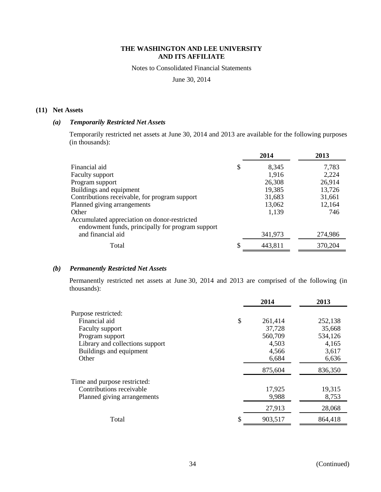Notes to Consolidated Financial Statements

June 30, 2014

### **(11) Net Assets**

### *(a) Temporarily Restricted Net Assets*

Temporarily restricted net assets at June 30, 2014 and 2013 are available for the following purposes (in thousands):

|                                                                                                  | 2014        | 2013    |
|--------------------------------------------------------------------------------------------------|-------------|---------|
| Financial aid                                                                                    | \$<br>8,345 | 7,783   |
| <b>Faculty support</b>                                                                           | 1,916       | 2,224   |
| Program support                                                                                  | 26,308      | 26,914  |
| Buildings and equipment                                                                          | 19,385      | 13,726  |
| Contributions receivable, for program support                                                    | 31,683      | 31,661  |
| Planned giving arrangements                                                                      | 13,062      | 12,164  |
| Other                                                                                            | 1,139       | 746     |
| Accumulated appreciation on donor-restricted<br>endowment funds, principally for program support |             |         |
| and financial aid                                                                                | 341,973     | 274,986 |
| Total                                                                                            | 443,811     | 370,204 |

### *(b) Permanently Restricted Net Assets*

Permanently restricted net assets at June 30, 2014 and 2013 are comprised of the following (in thousands):

|                                 | 2014          | 2013    |
|---------------------------------|---------------|---------|
| Purpose restricted:             |               |         |
| Financial aid                   | \$<br>261,414 | 252,138 |
| <b>Faculty support</b>          | 37,728        | 35,668  |
| Program support                 | 560,709       | 534,126 |
| Library and collections support | 4,503         | 4,165   |
| Buildings and equipment         | 4,566         | 3,617   |
| Other                           | 6,684         | 6,636   |
|                                 | 875,604       | 836,350 |
| Time and purpose restricted:    |               |         |
| Contributions receivable        | 17,925        | 19,315  |
| Planned giving arrangements     | 9,988         | 8,753   |
|                                 | 27,913        | 28,068  |
| Total                           | \$<br>903,517 | 864,418 |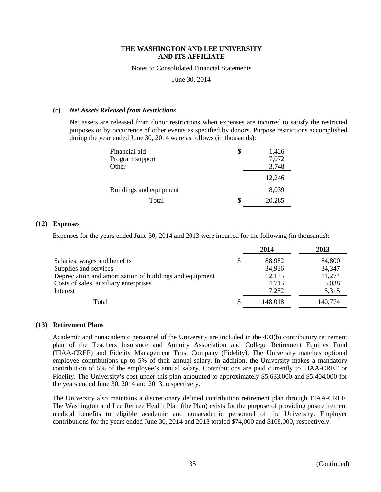Notes to Consolidated Financial Statements

June 30, 2014

### **(c)** *Net Assets Released from Restrictions*

Net assets are released from donor restrictions when expenses are incurred to satisfy the restricted purposes or by occurrence of other events as specified by donors. Purpose restrictions accomplished during the year ended June 30, 2014 were as follows (in thousands):

| Financial aid           | \$<br>1,426  |
|-------------------------|--------------|
| Program support         | 7,072        |
| Other                   | 3,748        |
|                         | 12,246       |
| Buildings and equipment | 8,039        |
| Total                   | \$<br>20,285 |

### **(12) Expenses**

Expenses for the years ended June 30, 2014 and 2013 were incurred for the following (in thousands):

|                                                          | 2014    | 2013    |
|----------------------------------------------------------|---------|---------|
| Salaries, wages and benefits                             | 88,982  | 84,800  |
| Supplies and services                                    | 34,936  | 34,347  |
| Depreciation and amortization of buildings and equipment | 12,135  | 11,274  |
| Costs of sales, auxiliary enterprises                    | 4,713   | 5,038   |
| Interest                                                 | 7,252   | 5,315   |
| Total                                                    | 148,018 | 140,774 |

### **(13) Retirement Plans**

Academic and nonacademic personnel of the University are included in the 403(b) contributory retirement plan of the Teachers Insurance and Annuity Association and College Retirement Equities Fund (TIAA-CREF) and Fidelity Management Trust Company (Fidelity). The University matches optional employee contributions up to 5% of their annual salary. In addition, the University makes a mandatory contribution of 5% of the employee's annual salary. Contributions are paid currently to TIAA-CREF or Fidelity. The University's cost under this plan amounted to approximately \$5,633,000 and \$5,404,000 for the years ended June 30, 2014 and 2013, respectively.

The University also maintains a discretionary defined contribution retirement plan through TIAA-CREF. The Washington and Lee Retiree Health Plan (the Plan) exists for the purpose of providing postretirement medical benefits to eligible academic and nonacademic personnel of the University. Employer contributions for the years ended June 30, 2014 and 2013 totaled \$74,000 and \$108,000, respectively.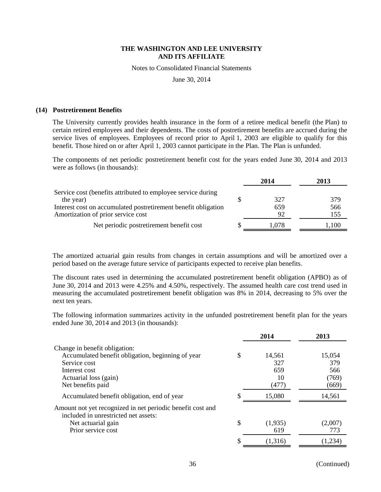Notes to Consolidated Financial Statements

June 30, 2014

### **(14) Postretirement Benefits**

The University currently provides health insurance in the form of a retiree medical benefit (the Plan) to certain retired employees and their dependents. The costs of postretirement benefits are accrued during the service lives of employees. Employees of record prior to April 1, 2003 are eligible to qualify for this benefit. Those hired on or after April 1, 2003 cannot participate in the Plan. The Plan is unfunded.

The components of net periodic postretirement benefit cost for the years ended June 30, 2014 and 2013 were as follows (in thousands):

|       | 2013  |
|-------|-------|
|       |       |
| 327   | 379   |
| 659   | 566   |
| 92    | 155   |
| 1.078 | l.100 |
|       | 2014  |

The amortized actuarial gain results from changes in certain assumptions and will be amortized over a period based on the average future service of participants expected to receive plan benefits.

The discount rates used in determining the accumulated postretirement benefit obligation (APBO) as of June 30, 2014 and 2013 were 4.25% and 4.50%, respectively. The assumed health care cost trend used in measuring the accumulated postretirement benefit obligation was 8% in 2014, decreasing to 5% over the next ten years.

The following information summarizes activity in the unfunded postretirement benefit plan for the years ended June 30, 2014 and 2013 (in thousands):

|                                                            | 2014          | 2013    |
|------------------------------------------------------------|---------------|---------|
| Change in benefit obligation:                              |               |         |
| Accumulated benefit obligation, beginning of year          | \$<br>14,561  | 15,054  |
| Service cost                                               | 327           | 379     |
| Interest cost                                              | 659           | 566     |
| Actuarial loss (gain)                                      | 10            | (769)   |
| Net benefits paid                                          | (477)         | (669)   |
| Accumulated benefit obligation, end of year                | 15,080        | 14,561  |
| Amount not yet recognized in net periodic benefit cost and |               |         |
| included in unrestricted net assets:                       |               |         |
| Net actuarial gain                                         | \$<br>(1,935) | (2,007) |
| Prior service cost                                         | 619           | 773     |
|                                                            | (1,316)       | (1,234) |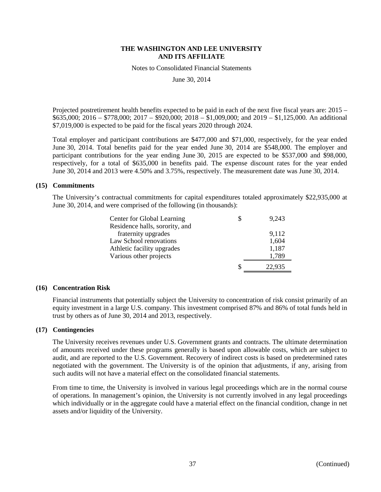Notes to Consolidated Financial Statements

June 30, 2014

Projected postretirement health benefits expected to be paid in each of the next five fiscal years are: 2015 –  $$635,000;~2016 - $778,000;~2017 - $920,000;~2018 - $1,009,000;$  and  $2019 - $1,125,000$ . An additional \$7,019,000 is expected to be paid for the fiscal years 2020 through 2024.

Total employer and participant contributions are \$477,000 and \$71,000, respectively, for the year ended June 30, 2014. Total benefits paid for the year ended June 30, 2014 are \$548,000. The employer and participant contributions for the year ending June 30, 2015 are expected to be \$537,000 and \$98,000, respectively, for a total of \$635,000 in benefits paid. The expense discount rates for the year ended June 30, 2014 and 2013 were 4.50% and 3.75%, respectively. The measurement date was June 30, 2014.

### **(15) Commitments**

The University's contractual commitments for capital expenditures totaled approximately \$22,935,000 at June 30, 2014, and were comprised of the following (in thousands):

| Center for Global Learning     | 9,243        |
|--------------------------------|--------------|
| Residence halls, sorority, and |              |
| fraternity upgrades            | 9,112        |
| Law School renovations         | 1,604        |
| Athletic facility upgrades     | 1,187        |
| Various other projects         | 1,789        |
|                                | \$<br>22,935 |

### **(16) Concentration Risk**

Financial instruments that potentially subject the University to concentration of risk consist primarily of an equity investment in a large U.S. company. This investment comprised 87% and 86% of total funds held in trust by others as of June 30, 2014 and 2013, respectively.

### **(17) Contingencies**

The University receives revenues under U.S. Government grants and contracts. The ultimate determination of amounts received under these programs generally is based upon allowable costs, which are subject to audit, and are reported to the U.S. Government. Recovery of indirect costs is based on predetermined rates negotiated with the government. The University is of the opinion that adjustments, if any, arising from such audits will not have a material effect on the consolidated financial statements.

From time to time, the University is involved in various legal proceedings which are in the normal course of operations. In management's opinion, the University is not currently involved in any legal proceedings which individually or in the aggregate could have a material effect on the financial condition, change in net assets and/or liquidity of the University.